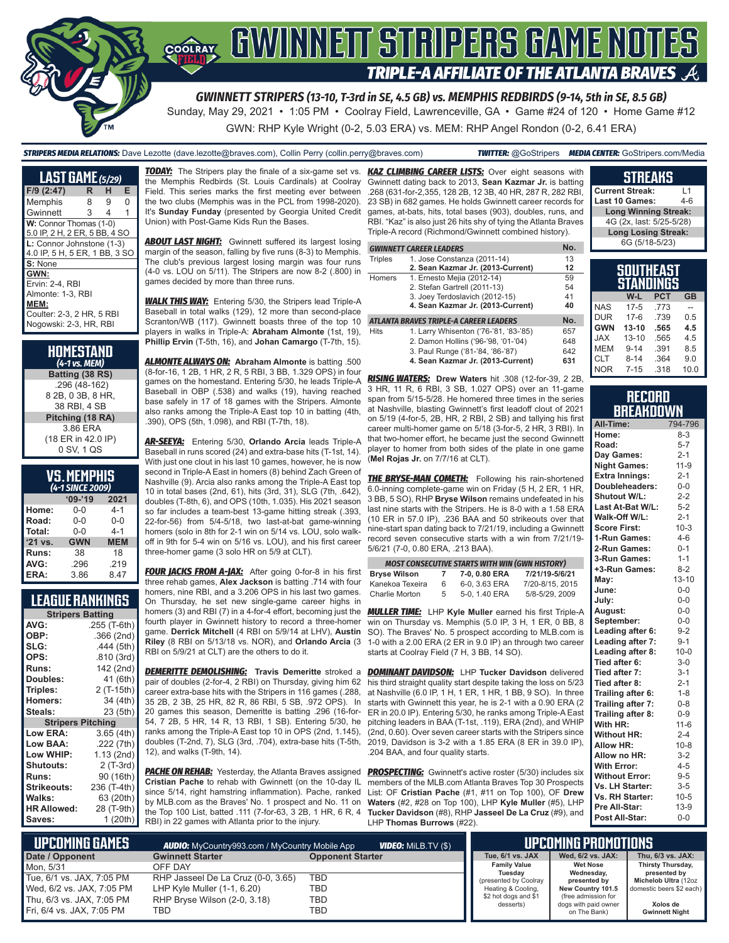

*GWINNETT STRIPERS (13-10, T-3rd in SE, 4.5 GB) vs. MEMPHIS REDBIRDS (9-14, 5th in SE, 8.5 GB)*

Sunday, May 29, 2021 • 1:05 PM • Coolray Field, Lawrenceville, GA • Game #24 of 120 • Home Game #12 GWN: RHP Kyle Wright (0-2, 5.03 ERA) vs. MEM: RHP Angel Rondon (0-2, 6.41 ERA)

#### *STRIPERS MEDIA RELATIONS:* Dave Lezotte (dave.lezotte@braves.com), Collin Perry (collin.perry@braves.com) *TWITTER:* @GoStripers *MEDIA CENTER:* GoStripers.com/Media

| <b>LAST GAME</b> $(5/29)$     |   |                |   |  |  |
|-------------------------------|---|----------------|---|--|--|
| F/9 (2:47)                    | R | н              | Е |  |  |
| Memphis                       | 8 | 9              | O |  |  |
| Gwinnett                      | 3 | $\overline{4}$ | 1 |  |  |
| W: Connor Thomas (1-0)        |   |                |   |  |  |
| 5.0 IP, 2 H, 2 ER, 5 BB, 4 SO |   |                |   |  |  |
| L: Connor Johnstone (1-3)     |   |                |   |  |  |
| 4.0 IP, 5 H, 5 ER, 1 BB, 3 SO |   |                |   |  |  |
| S: None                       |   |                |   |  |  |
| GWN:                          |   |                |   |  |  |
| Ervin: 2-4. RBI               |   |                |   |  |  |
| Almonte: 1-3. RBI             |   |                |   |  |  |
| MEM:                          |   |                |   |  |  |
| Coulter: 2-3, 2 HR, 5 RBI     |   |                |   |  |  |
| Nogowski: 2-3. HR. RBI        |   |                |   |  |  |

| HOMESTAND<br>(4-1 vs. MEM) |
|----------------------------|
| Batting (38 RS)            |
| .296 (48-162)              |
| 8 2B, 0 3B, 8 HR,          |
| 38 RBI, 4 SB               |
| Pitching (18 RA)           |
| 3.86 ERA                   |
| (18 ER in 42.0 IP)         |
| 0 SV, 1 QS                 |

| <b>VS. MEMPHIS</b>   |  |  |
|----------------------|--|--|
| $(L - 1$ CINCE 2000) |  |  |

| (4-1 SINCE 2009) |            |            |  |  |
|------------------|------------|------------|--|--|
|                  | $09 - 19$  | 2021       |  |  |
| Home:            | 0-0        | $4 - 1$    |  |  |
| Road:            | $0 - 0$    | $0 - 0$    |  |  |
| Total:           | $0 - 0$    | $4 - 1$    |  |  |
| '21 vs.          | <b>GWN</b> | <b>MEM</b> |  |  |
| Runs:            | 38         | 18         |  |  |
| AVG:             | .296       | .219       |  |  |
| ERA:             | 3.86       | 8.47       |  |  |

#### **LEAGUE RANKINGS**

| <b>Stripers Batting</b>  |              |  |  |
|--------------------------|--------------|--|--|
| AVG:                     | .255 (T-6th) |  |  |
| OBP:                     | .366 (2nd)   |  |  |
| SLG:                     | .444 (5th)   |  |  |
| OPS:                     | .810 (3rd)   |  |  |
| <b>Runs:</b>             | 142 (2nd)    |  |  |
| <b>Doubles:</b>          | 41 (6th)     |  |  |
| Triples:                 | 2 (T-15th)   |  |  |
| <b>Homers:</b>           | 34 (4th)     |  |  |
| Steals:                  | 23 (5th)     |  |  |
| <b>Stripers Pitching</b> |              |  |  |
| <b>Low ERA:</b>          | 3.65 (4th)   |  |  |
| Low BAA:                 | .222 (7th)   |  |  |
| Low WHIP:                | 1.13(2nd)    |  |  |
| <b>Shutouts:</b>         | $2(T-3rd)$   |  |  |
| <b>Runs:</b>             | 90 (16th)    |  |  |
| <b>Strikeouts:</b>       | 236 (T-4th)  |  |  |
| Walks:                   | 63 (20th)    |  |  |
| <b>HR Allowed:</b>       | 28 (T-9th)   |  |  |
| Saves:                   | 1(20th)      |  |  |

**TODAY:** The Stripers play the finale of a six-game set vs. the Memphis Redbirds (St. Louis Cardinals) at Coolray Field. This series marks the first meeting ever between the two clubs (Memphis was in the PCL from 1998-2020). It's **Sunday Funday** (presented by Georgia United Credit Union) with Post-Game Kids Run the Bases.

**ABOUT LAST NIGHT:** Gwinnett suffered its largest losing margin of the season, falling by five runs (8-3) to Memphis. The club's previous largest losing margin was four runs (4-0 vs. LOU on 5/11). The Stripers are now 8-2 (.800) in games decided by more than three runs.

*WALK THIS WAY:* Entering 5/30, the Stripers lead Triple-A Baseball in total walks (129), 12 more than second-place Scranton/WB (117). Gwinnett boasts three of the top 10 players in walks in Triple-A: **Abraham Almonte** (1st, 19), **Phillip Ervin** (T-5th, 16), and **Johan Camargo** (T-7th, 15).

*ALMONTE ALWAYS ON:* **Abraham Almonte** is batting .500 (8-for-16, 1 2B, 1 HR, 2 R, 5 RBI, 3 BB, 1.329 OPS) in four games on the homestand. Entering 5/30, he leads Triple-A Baseball in OBP (.538) and walks (19), having reached base safely in 17 of 18 games with the Stripers. Almonte also ranks among the Triple-A East top 10 in batting (4th, .390), OPS (5th, 1.098), and RBI (T-7th, 18).

*AR-SEEYA:* Entering 5/30, **Orlando Arcia** leads Triple-A Baseball in runs scored (24) and extra-base hits (T-1st, 14). With just one clout in his last 10 games, however, he is now second in Triple-A East in homers (8) behind Zach Green of Nashville (9). Arcia also ranks among the Triple-A East top 10 in total bases (2nd, 61), hits (3rd, 31), SLG (7th, .642), doubles (T-8th, 6), and OPS (10th, 1.035). His 2021 season so far includes a team-best 13-game hitting streak (.393, 22-for-56) from 5/4-5/18, two last-at-bat game-winning homers (solo in 8th for 2-1 win on 5/14 vs. LOU, solo walkoff in 9th for 5-4 win on 5/16 vs. LOU), and his first career three-homer game (3 solo HR on 5/9 at CLT).

**FOUR JACKS FROM A-JAX:** After going 0-for-8 in his first three rehab games, **Alex Jackson** is batting .714 with four homers, nine RBI, and a 3.206 OPS in his last two games. On Thursday, he set new single-game career highs in homers (3) and RBI (7) in a 4-for-4 effort, becoming just the fourth player in Gwinnett history to record a three-homer **Riley** (8 RBI on 5/13/18 vs. NOR), and **Orlando Arcia** (3 RBI on 5/9/21 at CLT) are the others to do it.

*DEMERITTE DEMOLISHING:* **Travis Demeritte** stroked a pair of doubles (2-for-4, 2 RBI) on Thursday, giving him 62 career extra-base hits with the Stripers in 116 games (.288, 35 2B, 2 3B, 25 HR, 82 R, 86 RBI, 5 SB, .972 OPS). In 20 games this season, Demeritte is batting .296 (16-for-54, 7 2B, 5 HR, 14 R, 13 RBI, 1 SB). Entering 5/30, he ranks among the Triple-A East top 10 in OPS (2nd, 1.145), doubles (T-2nd, 7), SLG (3rd, .704), extra-base hits (T-5th, 12), and walks (T-9th, 14).

*PACHE ON REHAB:* Yesterday, the Atlanta Braves assigned **Cristian Pache** to rehab with Gwinnett (on the 10-day IL since 5/14, right hamstring inflammation). Pache, ranked by MLB.com as the Braves' No. 1 prospect and No. 11 on the Top 100 List, batted .111 (7-for-63, 3 2B, 1 HR, 6 R, 4 RBI) in 22 games with Atlanta prior to the injury.

**KAZ CLIMBING CAREER LISTS:** Over eight seasons with Gwinnett dating back to 2013, **Sean Kazmar Jr.** is batting .268 (631-for-2,355, 128 2B, 12 3B, 40 HR, 287 R, 282 RBI, 23 SB) in 682 games. He holds Gwinnett career records for games, at-bats, hits, total bases (903), doubles, runs, and RBI. "Kaz" is also just 26 hits shy of tying the Atlanta Braves Triple-A record (Richmond/Gwinnett combined history).

|                | <b>GWINNETT CAREER LEADERS</b>         | No. |
|----------------|----------------------------------------|-----|
| <b>Triples</b> | 1. Jose Constanza (2011-14)            | 13  |
|                | 2. Sean Kazmar Jr. (2013-Current)      | 12  |
| <b>Homers</b>  | 1. Ernesto Mejia (2012-14)             | 59  |
|                | 2. Stefan Gartrell (2011-13)           | 54  |
|                | 3. Joey Terdoslavich (2012-15)         | 41  |
|                | 4. Sean Kazmar Jr. (2013-Current)      | 40  |
|                | ATLANTA BRAVES TRIPLE-A CAREER LEADERS | No. |
| <b>Hits</b>    | 1. Larry Whisenton ('76-'81, '83-'85)  | 657 |
|                | 2. Damon Hollins ('96-'98, '01-'04)    | 648 |
|                | 3. Paul Runge ('81-'84, '86-'87)       | 642 |
|                | 4. Sean Kazmar Jr. (2013-Current)      | 631 |

*RISING WATERS:* **Drew Waters** hit .308 (12-for-39, 2 2B, 3 HR, 11 R, 6 RBI, 3 SB, 1.027 OPS) over an 11-game span from 5/15-5/28. He homered three times in the series at Nashville, blasting Gwinnett's first leadoff clout of 2021 on 5/19 (4-for-5, 2B, HR, 2 RBI, 2 SB) and tallying his first career multi-homer game on 5/18 (3-for-5, 2 HR, 3 RBI). In that two-homer effort, he became just the second Gwinnett player to homer from both sides of the plate in one game (**Mel Rojas Jr.** on 7/7/16 at CLT).

**THE BRYSE-MAN COMETH:** Following his rain-shortened 6.0-inning complete-game win on Friday (5 H, 2 ER, 1 HR, 3 BB, 5 SO), RHP **Bryse Wilson** remains undefeated in his last nine starts with the Stripers. He is 8-0 with a 1.58 ERA (10 ER in 57.0 IP), .236 BAA and 50 strikeouts over that nine-start span dating back to 7/21/19, including a Gwinnett record seven consecutive starts with a win from 7/21/19- 5/6/21 (7-0, 0.80 ERA, .213 BAA).

|                     |   | <b>MOST CONSECUTIVE STARTS WITH WIN (GWN HISTORY)</b> |                 |
|---------------------|---|-------------------------------------------------------|-----------------|
| <b>Bryse Wilson</b> | 7 | 7-0, 0.80 ERA                                         | 7/21/19-5/6/21  |
| Kanekoa Texeira     | 6 | 6-0, 3.63 ERA                                         | 7/20-8/15, 2015 |
| Charlie Morton      | 5 | 5-0, 1.40 ERA                                         | 5/8-5/29, 2009  |

game. **Derrick Mitchell** (4 RBI on 5/9/14 at LHV), **Austin**  SO). The Braves' No. 5 prospect according to MLB.com is *MULLER TIME:* LHP **Kyle Muller** earned his first Triple-A win on Thursday vs. Memphis (5.0 IP, 3 H, 1 ER, 0 BB, 8 1-0 with a 2.00 ERA (2 ER in 9.0 IP) an through two career starts at Coolray Field (7 H, 3 BB, 14 SO).

> *DOMINANT DAVIDSON:* LHP **Tucker Davidson** delivered his third straight quality start despite taking the loss on 5/23 at Nashville (6.0 IP, 1 H, 1 ER, 1 HR, 1 BB, 9 SO). In three starts with Gwinnett this year, he is 2-1 with a 0.90 ERA (2 ER in 20.0 IP). Entering 5/30, he ranks among Triple-A East pitching leaders in BAA (T-1st, .119), ERA (2nd), and WHIP (2nd, 0.60). Over seven career starts with the Stripers since 2019, Davidson is 3-2 with a 1.85 ERA (8 ER in 39.0 IP), .204 BAA, and four quality starts.

> **PROSPECTING:** Gwinnett's active roster (5/30) includes six members of the MLB.com Atlanta Braves Top 30 Prospects List: OF **Cristian Pache** (#1, #11 on Top 100), OF **Drew Waters** (#2, #28 on Top 100), LHP **Kyle Muller** (#5), LHP **Tucker Davidson** (#8), RHP **Jasseel De La Cruz** (#9), and LHP **Thomas Burrows** (#22).

|            | <b>Long Winning Streak:</b> |            |           |
|------------|-----------------------------|------------|-----------|
|            | 4G (2x, last: 5/25-5/28)    |            |           |
|            | <b>Long Losing Streak:</b>  |            |           |
|            | 6G (5/18-5/23)              |            |           |
|            |                             |            |           |
|            | <b>SOUTHEAST</b>            |            |           |
|            |                             |            |           |
|            | <b>STANDINGS</b>            |            |           |
|            | W-L                         | <b>PCT</b> | <b>GB</b> |
| <b>JAS</b> |                             |            |           |
|            | $17 - 5$                    | .773       |           |

**STREAKS Current Streak:** L1 **Last 10 Games:** 

|            |           |      | --   |
|------------|-----------|------|------|
| <b>NAS</b> | $17 - 5$  | .773 |      |
| <b>DUR</b> | $17-6$    | .739 | 0.5  |
| <b>GWN</b> | $13 - 10$ | .565 | 4.5  |
| <b>JAX</b> | $13 - 10$ | .565 | 4.5  |
| <b>MEM</b> | $9 - 14$  | .391 | 8.5  |
| CLT        | $8 - 14$  | .364 | 9.0  |
| <b>NOR</b> | $7 - 15$  | .318 | 10.0 |

#### **RECORD BREAKDOWN**

| All-Time:             | 794-796   |
|-----------------------|-----------|
| Home:                 | $8 - 3$   |
| Road:                 | $5 - 7$   |
| Day Games:            | $2 - 1$   |
| <b>Night Games:</b>   | $11 - 9$  |
| <b>Extra Innings:</b> | $2 - 1$   |
| Doubleheaders:        | $0-0$     |
| <b>Shutout W/L:</b>   | $2 - 2$   |
| Last At-Bat W/L:      | $5 - 2$   |
| Walk-Off W/L:         | $2 - 1$   |
| <b>Score First:</b>   | $10-3$    |
| 1-Run Games:          | $4 - 6$   |
| 2-Run Games:          | $0 - 1$   |
| 3-Run Games:          | $1 - 1$   |
| +3-Run Games:         | $8 - 2$   |
| May:                  | $13 - 10$ |
| June:                 | $0 - 0$   |
| July:                 | $0 - 0$   |
| August:               | $0 - 0$   |
| September:            | $0-0$     |
| Leading after 6:      | $9 - 2$   |
| Leading after 7:      | $9 - 1$   |
| Leading after 8:      | $10 - 0$  |
| Tied after 6:         | $3-0$     |
| Tied after 7:         | $3 - 1$   |
| Tied after 8:         | $2 - 1$   |
| Trailing after 6:     | $1 - 8$   |
| Trailing after 7:     | $0 - 8$   |
| Trailing after 8:     | $0 - 9$   |
| With HR:              | $11 - 6$  |
| <b>Without HR:</b>    | $2 - 4$   |
| <b>Allow HR:</b>      | $10 - 8$  |
| Allow no HR:          | $3 - 2$   |
| <b>With Error:</b>    | $4 - 5$   |
| <b>Without Error:</b> | $9 - 5$   |
| Vs. LH Starter:       | $3-5$     |
| Vs. RH Starter:       | $10 - 5$  |
| Pre All-Star:         | $13-9$    |
| Post All-Star:        | $0 - 0$   |

| NUPCOMING GAMES<br><b>VIDEO: MILB.TV (\$)</b><br><b>AUDIO:</b> MyCountry993.com / MyCountry Mobile App |                                    |                         |                                   | <b>LUPCOMING PROMOTIONS !</b>               |                                   |
|--------------------------------------------------------------------------------------------------------|------------------------------------|-------------------------|-----------------------------------|---------------------------------------------|-----------------------------------|
| Date / Opponent                                                                                        | <b>Gwinnett Starter</b>            | <b>Opponent Starter</b> | Tue, 6/1 vs. JAX                  | Wed. 6/2 vs. JAX:                           | Thu, 6/3 vs. JAX:                 |
| Mon. 5/31                                                                                              | OFF DAY                            |                         | <b>Family Value</b><br>Tuesdav    | <b>Wet Nose</b><br>Wednesday,               | Thirsty Thursday,<br>presented by |
| Tue, 6/1 vs. JAX, 7:05 PM                                                                              | RHP Jasseel De La Cruz (0-0, 3.65) | TBD                     | (presented by Coolray             | presented by                                | Michelob Ultra (12oz              |
| Wed, 6/2 vs. JAX, 7:05 PM                                                                              | LHP Kyle Muller (1-1, 6.20)        | TBD                     | Heating & Cooling,                | New Country 101.5                           | domestic beers \$2 each)          |
| Thu, 6/3 vs. JAX, 7:05 PM                                                                              | RHP Bryse Wilson (2-0, 3.18)       | TBD                     | \$2 hot dogs and \$1<br>desserts) | (free admission for<br>dogs with paid owner | Xolos de                          |
| Fri, 6/4 vs. JAX, 7:05 PM                                                                              | TBD                                | TBD                     |                                   | on The Bank)                                | <b>Gwinnett Night</b>             |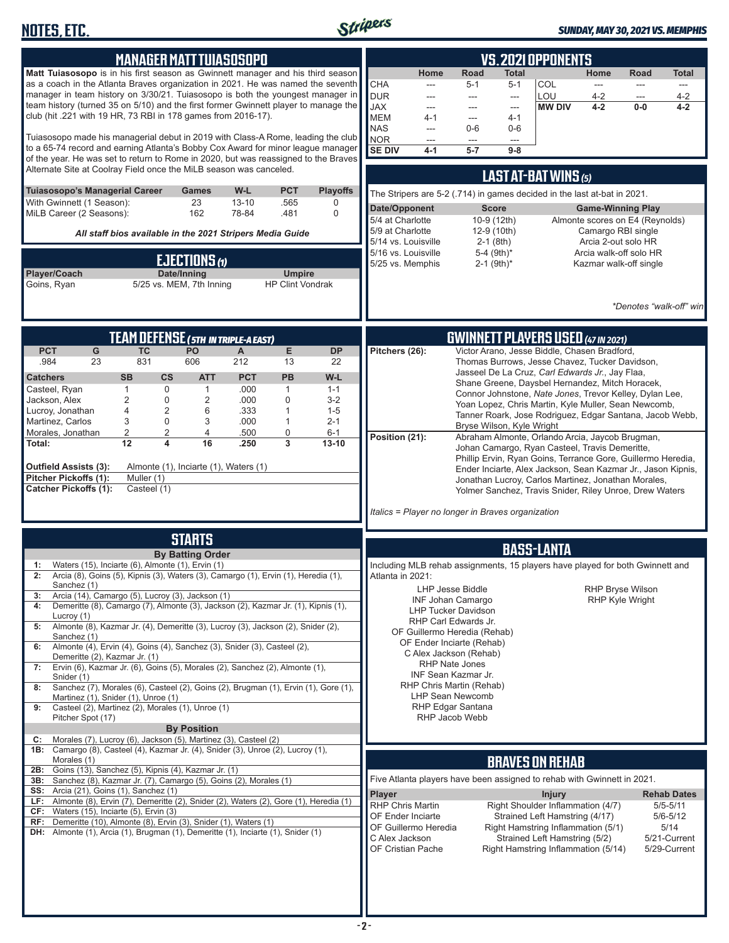

| <b>MANAGER MATT TUIASOSOPO</b>                                                                                                                                                                                                                                                                                                                                                                                                                                                                                                                                                                                                                                                                                                                                                                                                                                                                                                                                                                                      | <b>VS. 2021 OPPONENTS</b>                                                                                                                                                                                                                                                                                                                                                                                                                                                                                                                                                                                                                                                                                                                                                                      |
|---------------------------------------------------------------------------------------------------------------------------------------------------------------------------------------------------------------------------------------------------------------------------------------------------------------------------------------------------------------------------------------------------------------------------------------------------------------------------------------------------------------------------------------------------------------------------------------------------------------------------------------------------------------------------------------------------------------------------------------------------------------------------------------------------------------------------------------------------------------------------------------------------------------------------------------------------------------------------------------------------------------------|------------------------------------------------------------------------------------------------------------------------------------------------------------------------------------------------------------------------------------------------------------------------------------------------------------------------------------------------------------------------------------------------------------------------------------------------------------------------------------------------------------------------------------------------------------------------------------------------------------------------------------------------------------------------------------------------------------------------------------------------------------------------------------------------|
| Matt Tuiasosopo is in his first season as Gwinnett manager and his third season<br>as a coach in the Atlanta Braves organization in 2021. He was named the seventh<br>manager in team history on 3/30/21. Tuiasosopo is both the youngest manager in<br>team history (turned 35 on 5/10) and the first former Gwinnett player to manage the<br>club (hit .221 with 19 HR, 73 RBI in 178 games from 2016-17).                                                                                                                                                                                                                                                                                                                                                                                                                                                                                                                                                                                                        | Road<br>Home<br>Home<br>Total<br>Road<br>Total<br><b>CHA</b><br>$5 - 1$<br><b>COL</b><br>$5 - 1$<br>---<br>---<br><b>DUR</b><br>LOU<br>$4 - 2$<br>$4 - 2$<br>$\overline{a}$<br>---<br>---<br>---<br><b>JAX</b><br><b>MW DIV</b><br>$4 - 2$<br>$0-0$<br>4-2<br>---<br>$\overline{a}$<br>---<br><b>MEM</b><br>$4 - 1$<br>$4 - 1$<br>$\overline{a}$<br><b>NAS</b><br>$0-6$<br>$0-6$<br>$\overline{a}$                                                                                                                                                                                                                                                                                                                                                                                             |
| Tuiasosopo made his managerial debut in 2019 with Class-A Rome, leading the club<br>to a 65-74 record and earning Atlanta's Bobby Cox Award for minor league manager<br>of the year. He was set to return to Rome in 2020, but was reassigned to the Braves<br>Alternate Site at Coolray Field once the MiLB season was canceled.                                                                                                                                                                                                                                                                                                                                                                                                                                                                                                                                                                                                                                                                                   | <b>NOR</b><br>---<br>---<br>---<br><b>SE DIV</b><br>$5 - 7$<br>$9-8$<br>$4 - 1$                                                                                                                                                                                                                                                                                                                                                                                                                                                                                                                                                                                                                                                                                                                |
| <b>Playoffs</b><br>Tuiasosopo's Managerial Career<br>W-L<br><b>PCT</b><br><b>Games</b><br>With Gwinnett (1 Season):<br>23<br>$13 - 10$<br>.565<br>0                                                                                                                                                                                                                                                                                                                                                                                                                                                                                                                                                                                                                                                                                                                                                                                                                                                                 | <b>LAST AT-BAT WINS (5)</b><br>The Stripers are 5-2 (.714) in games decided in the last at-bat in 2021.<br>Date/Opponent<br><b>Game-Winning Play</b><br><b>Score</b>                                                                                                                                                                                                                                                                                                                                                                                                                                                                                                                                                                                                                           |
| MiLB Career (2 Seasons):<br>162<br>78-84<br>.481<br>$\mathbf 0$<br>All staff bios available in the 2021 Stripers Media Guide                                                                                                                                                                                                                                                                                                                                                                                                                                                                                                                                                                                                                                                                                                                                                                                                                                                                                        | 5/4 at Charlotte<br>10-9 (12th)<br>Almonte scores on E4 (Reynolds)<br>5/9 at Charlotte<br>12-9 (10th)<br>Camargo RBI single                                                                                                                                                                                                                                                                                                                                                                                                                                                                                                                                                                                                                                                                    |
| EJECTIONS (1)<br>Player/Coach<br>Date/Inning<br><b>Umpire</b><br>5/25 vs. MEM, 7th Inning<br><b>HP Clint Vondrak</b><br>Goins, Ryan                                                                                                                                                                                                                                                                                                                                                                                                                                                                                                                                                                                                                                                                                                                                                                                                                                                                                 | $2-1$ (8th)<br>5/14 vs. Louisville<br>Arcia 2-out solo HR<br>5/16 vs. Louisville<br>5-4 (9th)*<br>Arcia walk-off solo HR<br>5/25 vs. Memphis<br>$2-1$ (9th) <sup>*</sup><br>Kazmar walk-off single<br>*Denotes "walk-off" win                                                                                                                                                                                                                                                                                                                                                                                                                                                                                                                                                                  |
| TEAM DEFENSE ( 5TH IN TRIPLE-A EAST)<br><b>PCT</b><br>${\mathsf G}$<br><b>TC</b><br>PO<br>Е<br><b>DP</b><br>A                                                                                                                                                                                                                                                                                                                                                                                                                                                                                                                                                                                                                                                                                                                                                                                                                                                                                                       | <b>GWINNETT PLAYERS USED (47 IN 2021)</b><br>Victor Arano, Jesse Biddle, Chasen Bradford,<br>Pitchers (26):                                                                                                                                                                                                                                                                                                                                                                                                                                                                                                                                                                                                                                                                                    |
| 831<br>212<br>.984<br>23<br>606<br>13<br>22<br><b>SB</b><br>$\mathsf{cs}$<br><b>ATT</b><br><b>PCT</b><br><b>PB</b><br>W-L<br><b>Catchers</b><br>$\mathbf 0$<br>.000<br>Casteel, Ryan<br>1<br>$\mathbf{1}$<br>$\mathbf{1}$<br>$1 - 1$<br>$\overline{c}$<br>$\boldsymbol{0}$<br>2<br>0<br>Jackson, Alex<br>.000<br>$3 - 2$<br>4<br>2<br>.333<br>Lucroy, Jonathan<br>6<br>1<br>$1 - 5$<br>3<br>$\boldsymbol{0}$<br>3<br>$2 - 1$<br>Martinez, Carlos<br>.000<br>1<br>$\overline{2}$<br>$\overline{2}$<br>0<br>4<br>Morales, Jonathan<br>.500<br>$6 - 1$<br>$\overline{3}$<br>12<br>4<br>16<br>Total:<br>.250<br>$13 - 10$<br>Almonte (1), Inciarte (1), Waters (1)<br>Outfield Assists (3):<br>Pitcher Pickoffs (1):<br>Muller (1)<br><b>Catcher Pickoffs (1):</b><br>Casteel (1)                                                                                                                                                                                                                                       | Thomas Burrows, Jesse Chavez, Tucker Davidson,<br>Jasseel De La Cruz, Carl Edwards Jr., Jay Flaa,<br>Shane Greene, Daysbel Hernandez, Mitch Horacek,<br>Connor Johnstone, Nate Jones, Trevor Kelley, Dylan Lee,<br>Yoan Lopez, Chris Martin, Kyle Muller, Sean Newcomb,<br>Tanner Roark, Jose Rodriguez, Edgar Santana, Jacob Webb,<br>Bryse Wilson, Kyle Wright<br>Position (21):<br>Abraham Almonte, Orlando Arcia, Jaycob Brugman,<br>Johan Camargo, Ryan Casteel, Travis Demeritte,<br>Phillip Ervin, Ryan Goins, Terrance Gore, Guillermo Heredia,<br>Ender Inciarte, Alex Jackson, Sean Kazmar Jr., Jason Kipnis,<br>Jonathan Lucroy, Carlos Martinez, Jonathan Morales,<br>Yolmer Sanchez, Travis Snider, Riley Unroe, Drew Waters<br>Italics = Player no longer in Braves organization |
| <b>STARTS</b>                                                                                                                                                                                                                                                                                                                                                                                                                                                                                                                                                                                                                                                                                                                                                                                                                                                                                                                                                                                                       | <b>BASS-LANTA</b>                                                                                                                                                                                                                                                                                                                                                                                                                                                                                                                                                                                                                                                                                                                                                                              |
| <b>By Batting Order</b><br>Waters (15), Inciarte (6), Almonte (1), Ervin (1)<br>1:<br>Arcia (8), Goins (5), Kipnis (3), Waters (3), Camargo (1), Ervin (1), Heredia (1),<br>2:<br>Sanchez (1)<br>Arcia (14), Camargo (5), Lucroy (3), Jackson (1)<br>3:<br>Demeritte (8), Camargo (7), Almonte (3), Jackson (2), Kazmar Jr. (1), Kipnis (1),<br>4:<br>Lucroy (1)<br>Almonte (8), Kazmar Jr. (4), Demeritte (3), Lucroy (3), Jackson (2), Snider (2),<br>5:<br>Sanchez (1)<br>Almonte (4), Ervin (4), Goins (4), Sanchez (3), Snider (3), Casteel (2),<br>6:<br>Demeritte (2), Kazmar Jr. (1)<br>Ervin (6), Kazmar Jr. (6), Goins (5), Morales (2), Sanchez (2), Almonte (1),<br>7:<br>Snider (1)<br>Sanchez (7), Morales (6), Casteel (2), Goins (2), Brugman (1), Ervin (1), Gore (1),<br>8:<br>Martinez (1), Snider (1), Unroe (1)<br>Casteel (2), Martinez (2), Morales (1), Unroe (1)<br>9:<br>Pitcher Spot (17)<br><b>By Position</b><br>Morales (7), Lucroy (6), Jackson (5), Martinez (3), Casteel (2)<br>C: | Including MLB rehab assignments, 15 players have played for both Gwinnett and<br>Atlanta in 2021:<br>LHP Jesse Biddle<br><b>RHP Bryse Wilson</b><br><b>RHP Kyle Wright</b><br><b>INF Johan Camargo</b><br><b>LHP Tucker Davidson</b><br>RHP Carl Edwards Jr.<br>OF Guillermo Heredia (Rehab)<br>OF Ender Inciarte (Rehab)<br>C Alex Jackson (Rehab)<br><b>RHP Nate Jones</b><br>INF Sean Kazmar Jr.<br>RHP Chris Martin (Rehab)<br><b>LHP Sean Newcomb</b><br>RHP Edgar Santana<br>RHP Jacob Webb                                                                                                                                                                                                                                                                                              |
| 1B: Camargo (8), Casteel (4), Kazmar Jr. (4), Snider (3), Unroe (2), Lucroy (1),<br>Morales (1)                                                                                                                                                                                                                                                                                                                                                                                                                                                                                                                                                                                                                                                                                                                                                                                                                                                                                                                     | <b>BRAVES ON REHAB</b>                                                                                                                                                                                                                                                                                                                                                                                                                                                                                                                                                                                                                                                                                                                                                                         |
| 2B: Goins (13), Sanchez (5), Kipnis (4), Kazmar Jr. (1)<br>3B: Sanchez (8), Kazmar Jr. (7), Camargo (5), Goins (2), Morales (1)<br><b>SS:</b> Arcia (21), Goins (1), Sanchez (1)<br>LF: Almonte (8), Ervin (7), Demeritte (2), Snider (2), Waters (2), Gore (1), Heredia (1)<br>CF: Waters (15), Inciarte (5), Ervin (3)<br>RF: Demeritte (10), Almonte (8), Ervin (3), Snider (1), Waters (1)<br><b>DH:</b> Almonte (1), Arcia (1), Brugman (1), Demeritte (1), Inciarte (1), Snider (1)                                                                                                                                                                                                                                                                                                                                                                                                                                                                                                                           | Five Atlanta players have been assigned to rehab with Gwinnett in 2021.<br>Player<br><b>Injury</b><br><b>Rehab Dates</b><br><b>RHP Chris Martin</b><br>Right Shoulder Inflammation (4/7)<br>$5/5 - 5/11$<br>OF Ender Inciarte<br>Strained Left Hamstring (4/17)<br>$5/6 - 5/12$<br>OF Guillermo Heredia<br>Right Hamstring Inflammation (5/1)<br>5/14<br>C Alex Jackson<br>Strained Left Hamstring (5/2)<br>5/21-Current<br>OF Cristian Pache<br>5/29-Current<br>Right Hamstring Inflammation (5/14)                                                                                                                                                                                                                                                                                           |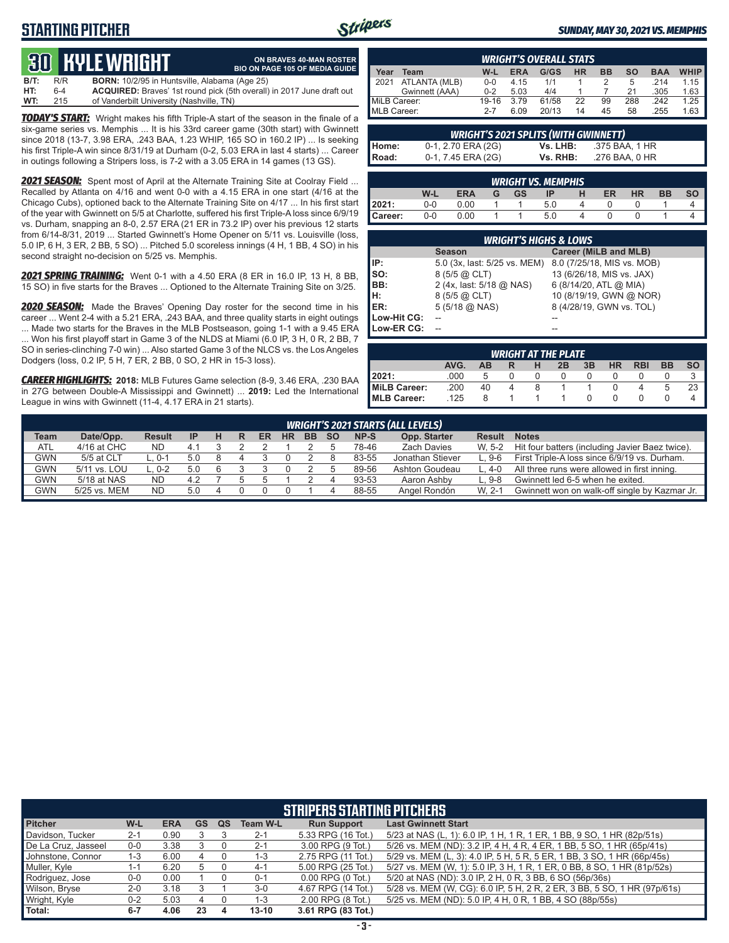# **STARTING PITCHER**



**ON BRAVES 40-MAN ROSTER**

#### *SUNDAY, MAY 30, 2021 VS. MEMPHIS*

# **30****KYLE WRIGHT**

|      |     | <u>tus bible white in</u>                            | <b>BIO ON PAGE 105 OF MEDIA GUIDE</b>                                        |
|------|-----|------------------------------------------------------|------------------------------------------------------------------------------|
| B/T: | R/R | <b>BORN:</b> 10/2/95 in Huntsville, Alabama (Age 25) |                                                                              |
| HT:  | 6-4 |                                                      | <b>ACQUIRED:</b> Braves' 1st round pick (5th overall) in 2017 June draft out |
| WT:  | 215 | of Vanderbilt University (Nashville, TN)             |                                                                              |

*TODAY'S START:* Wright makes his fifth Triple-A start of the season in the finale of a six-game series vs. Memphis ... It is his 33rd career game (30th start) with Gwinnett since 2018 (13-7, 3.98 ERA, .243 BAA, 1.23 WHIP, 165 SO in 160.2 IP) ... Is seeking his first Triple-A win since 8/31/19 at Durham (0-2, 5.03 ERA in last 4 starts) ... Career in outings following a Stripers loss, is 7-2 with a 3.05 ERA in 14 games (13  $\overline{GS}$ ).

*2021 SEASON:* Spent most of April at the Alternate Training Site at Coolray Field ... Recalled by Atlanta on 4/16 and went 0-0 with a 4.15 ERA in one start (4/16 at the Chicago Cubs), optioned back to the Alternate Training Site on 4/17 ... In his first start of the year with Gwinnett on 5/5 at Charlotte, suffered his first Triple-A loss since 6/9/19 vs. Durham, snapping an 8-0, 2.57 ERA (21 ER in 73.2 IP) over his previous 12 starts from 6/14-8/31, 2019 ... Started Gwinnett's Home Opener on 5/11 vs. Louisville (loss, 5.0 IP, 6 H, 3 ER, 2 BB, 5 SO) ... Pitched 5.0 scoreless innings (4 H, 1 BB, 4 SO) in his second straight no-decision on 5/25 vs. Memphis.

*2021 SPRING TRAINING:* Went 0-1 with a 4.50 ERA (8 ER in 16.0 IP, 13 H, 8 BB, 15 SO) in five starts for the Braves ... Optioned to the Alternate Training Site on 3/25.

*2020 SEASON:* Made the Braves' Opening Day roster for the second time in his career ... Went 2-4 with a 5.21 ERA, .243 BAA, and three quality starts in eight outings ... Made two starts for the Braves in the MLB Postseason, going 1-1 with a 9.45 ERA ... Won his first playoff start in Game 3 of the NLDS at Miami (6.0 IP, 3 H, 0 R, 2 BB, 7 SO in series-clinching 7-0 win) ... Also started Game 3 of the NLCS vs. the Los Angeles Dodgers (loss, 0.2 IP, 5 H, 7 ER, 2 BB, 0 SO, 2 HR in 15-3 loss).

*CAREER HIGHLIGHTS:* **2018:** MLB Futures Game selection (8-9, 3.46 ERA, .230 BAA in 27G between Double-A Mississippi and Gwinnett) ... **2019:** Led the International League in wins with Gwinnett (11-4, 4.17 ERA in 21 starts).

|              | <b>WRIGHT'S OVERALL STATS</b> |         |            |       |           |           |     |            |             |  |  |  |  |  |  |
|--------------|-------------------------------|---------|------------|-------|-----------|-----------|-----|------------|-------------|--|--|--|--|--|--|
| Year         | Team                          | W-L     | <b>ERA</b> | G/GS  | <b>HR</b> | <b>BB</b> | so  | <b>BAA</b> | <b>WHIP</b> |  |  |  |  |  |  |
| 2021         | ATLANTA (MLB)                 | $0 - 0$ | 4.15       | 1/1   |           |           | 5   | .214       | 1.15        |  |  |  |  |  |  |
|              | Gwinnett (AAA)                | $0 - 2$ | 5.03       | 4/4   |           |           | 21  | .305       | 1.63        |  |  |  |  |  |  |
| MiLB Career: |                               | 19-16   | 3.79       | 61/58 | 22        | 99        | 288 | .242       | 1.25        |  |  |  |  |  |  |
| MLB Career:  |                               | $2 - 7$ | 6.09       | 20/13 | 14        | 45        | 58  | .255       | 1.63        |  |  |  |  |  |  |

|         | <b>WRIGHT'S 2021 SPLITS (WITH GWINNETT)</b> |          |                |  |  |  |  |  |  |  |  |  |  |  |
|---------|---------------------------------------------|----------|----------------|--|--|--|--|--|--|--|--|--|--|--|
| l Home: | 0-1, 2.70 ERA (2G)                          | Vs. LHB: | .375 BAA. 1 HR |  |  |  |  |  |  |  |  |  |  |  |
| I Road: | 0-1, 7.45 ERA (2G)                          | Vs. RHB: | .276 BAA. 0 HR |  |  |  |  |  |  |  |  |  |  |  |

|         | <b>WRIGHT VS. MEMPHIS.</b>                                             |      |  |  |     |  |  |  |  |  |  |  |  |  |  |
|---------|------------------------------------------------------------------------|------|--|--|-----|--|--|--|--|--|--|--|--|--|--|
|         | W-L<br>HR<br><b>GS</b><br><b>ERA</b><br>ВB<br>ER<br>SΟ<br>ΙP<br>G<br>н |      |  |  |     |  |  |  |  |  |  |  |  |  |  |
| 12021:  | $0 - 0$                                                                | 00.( |  |  | 5.0 |  |  |  |  |  |  |  |  |  |  |
| Career: | 0-0                                                                    | 0.00 |  |  | 5.0 |  |  |  |  |  |  |  |  |  |  |

|             | <b>WRIGHT'S HIGHS &amp; LOWS</b> |                                                         |  |  |  |  |  |  |  |  |  |  |  |
|-------------|----------------------------------|---------------------------------------------------------|--|--|--|--|--|--|--|--|--|--|--|
|             | <b>Season</b>                    | Career (MiLB and MLB)                                   |  |  |  |  |  |  |  |  |  |  |  |
| IP:         |                                  | 5.0 (3x, last: 5/25 vs. MEM) 8.0 (7/25/18, MIS vs. MOB) |  |  |  |  |  |  |  |  |  |  |  |
| SO:         | 8 (5/5 @ CLT)                    | 13 (6/26/18, MIS vs. JAX)                               |  |  |  |  |  |  |  |  |  |  |  |
| BB:         | 2 (4x, last: 5/18 @ NAS)         | 6 (8/14/20, ATL @ MIA)                                  |  |  |  |  |  |  |  |  |  |  |  |
| H:          | $8(5/5)$ $\omega$ CLT)           | 10 (8/19/19, GWN @ NOR)                                 |  |  |  |  |  |  |  |  |  |  |  |
| <b>IER:</b> | $5(5/18)$ ( $\Omega$ , NAS)      | 8 (4/28/19, GWN vs. TOL)                                |  |  |  |  |  |  |  |  |  |  |  |
| Low-Hit CG: |                                  |                                                         |  |  |  |  |  |  |  |  |  |  |  |
| Low-ER CG:  |                                  |                                                         |  |  |  |  |  |  |  |  |  |  |  |

|                                                                           | <b>WRIGHT AT THE PLATE</b> |    |   |   |  |  |  |  |   |    |  |  |  |  |  |
|---------------------------------------------------------------------------|----------------------------|----|---|---|--|--|--|--|---|----|--|--|--|--|--|
| <b>SO</b><br>AVG.<br>3B<br><b>RBI</b><br><b>BB</b><br>HR<br>2B<br>н<br>AВ |                            |    |   |   |  |  |  |  |   |    |  |  |  |  |  |
| 12021:                                                                    | .000                       |    |   |   |  |  |  |  |   |    |  |  |  |  |  |
| MiLB Career:                                                              | .200                       | 40 | 4 | 8 |  |  |  |  | b | 23 |  |  |  |  |  |
| <b>IMLB Career:</b>                                                       | .125                       | 8  |   |   |  |  |  |  |   |    |  |  |  |  |  |

|             | <b>WRIGHT'S 2021 STARTS (ALL LEVELS)</b>                                                                                                                |           |     |  |  |  |  |  |  |       |                  |         |                                                 |  |  |
|-------------|---------------------------------------------------------------------------------------------------------------------------------------------------------|-----------|-----|--|--|--|--|--|--|-------|------------------|---------|-------------------------------------------------|--|--|
| <b>Team</b> | Date/Opp.<br>Opp. Starter<br>NP-S<br><b>Notes</b><br><b>Result</b><br><b>BB</b><br><b>SO</b><br><b>Result</b><br><b>HR</b><br>ER<br><b>IP</b><br>н<br>R |           |     |  |  |  |  |  |  |       |                  |         |                                                 |  |  |
| <b>ATL</b>  | 4/16 at CHC                                                                                                                                             | <b>ND</b> | 4.1 |  |  |  |  |  |  | 78-46 | Zach Davies      | W. 5-2  | Hit four batters (including Javier Baez twice). |  |  |
| <b>GWN</b>  | 5/5 at CLT                                                                                                                                              | L. 0-1    | 5.0 |  |  |  |  |  |  | 83-55 | Jonathan Stiever | $L.9-6$ | First Triple-A loss since 6/9/19 vs. Durham.    |  |  |
| GWN         | 5/11 vs. LOU                                                                                                                                            | L. 0-2    | 5.0 |  |  |  |  |  |  | 89-56 | Ashton Goudeau   | L. 4-0  | All three runs were allowed in first inning.    |  |  |
| <b>GWN</b>  | 5/18 at NAS                                                                                                                                             | <b>ND</b> | 4.2 |  |  |  |  |  |  | 93-53 | Aaron Ashby      | L. 9-8  | Gwinnett led 6-5 when he exited.                |  |  |
| <b>GWN</b>  | 5/25 vs. MEM                                                                                                                                            | <b>ND</b> | 5.0 |  |  |  |  |  |  | 88-55 | Angel Rondón     | W. 2-1  | Gwinnett won on walk-off single by Kazmar Jr.   |  |  |

|                     | <b>STRIPERS STARTING PITCHERS'</b>                                                                   |      |    |   |           |                       |                                                                          |  |  |  |  |  |  |  |  |
|---------------------|------------------------------------------------------------------------------------------------------|------|----|---|-----------|-----------------------|--------------------------------------------------------------------------|--|--|--|--|--|--|--|--|
| <b>Pitcher</b>      | <b>Last Gwinnett Start</b><br>W-L<br><b>ERA</b><br>GS<br><b>Run Support</b><br><b>Team W-L</b><br>QS |      |    |   |           |                       |                                                                          |  |  |  |  |  |  |  |  |
| Davidson, Tucker    | $2 - 1$                                                                                              | 0.90 |    |   | $2 - 1$   | 5.33 RPG (16 Tot.)    | 5/23 at NAS (L, 1): 6.0 IP, 1 H, 1 R, 1 ER, 1 BB, 9 SO, 1 HR (82p/51s)   |  |  |  |  |  |  |  |  |
| De La Cruz, Jasseel | $0 - 0$                                                                                              | 3.38 |    |   | $2 - 1$   | 3.00 RPG (9 Tot.)     | 5/26 vs. MEM (ND): 3.2 IP, 4 H, 4 R, 4 ER, 1 BB, 5 SO, 1 HR (65p/41s)    |  |  |  |  |  |  |  |  |
| Johnstone, Connor   | 1-3                                                                                                  | 6.00 | 4  |   | $1 - 3$   | 2.75 RPG (11 Tot.)    | 5/29 vs. MEM (L, 3): 4.0 IP, 5 H, 5 R, 5 ER, 1 BB, 3 SO, 1 HR (66p/45s)  |  |  |  |  |  |  |  |  |
| Muller, Kyle        | 1-1                                                                                                  | 6.20 |    |   | 4-1       | 5.00 RPG (25 Tot.)    | 5/27 vs. MEM (W, 1): 5.0 IP, 3 H, 1 R, 1 ER, 0 BB, 8 SO, 1 HR (81p/52s)  |  |  |  |  |  |  |  |  |
| Rodriguez, Jose     | $0-0$                                                                                                | 0.00 |    |   | $0 - 1$   | $0.00$ RPG $(0$ Tot.) | 5/20 at NAS (ND): 3.0 IP, 2 H, 0 R, 3 BB, 6 SO (56p/36s)                 |  |  |  |  |  |  |  |  |
| Wilson, Bryse       | $2 - 0$                                                                                              | 3.18 |    |   | $3-0$     | 4.67 RPG (14 Tot.)    | 5/28 vs. MEM (W, CG): 6.0 IP, 5 H, 2 R, 2 ER, 3 BB, 5 SO, 1 HR (97p/61s) |  |  |  |  |  |  |  |  |
| Wright, Kyle        | $0 - 2$                                                                                              | 5.03 | 4  |   | $1 - 3$   | 2.00 RPG (8 Tot.)     | 5/25 vs. MEM (ND): 5.0 IP, 4 H, 0 R, 1 BB, 4 SO (88p/55s)                |  |  |  |  |  |  |  |  |
| Total:              | $6 - 7$                                                                                              | 4.06 | 23 | 4 | $13 - 10$ | 3.61 RPG (83 Tot.)    |                                                                          |  |  |  |  |  |  |  |  |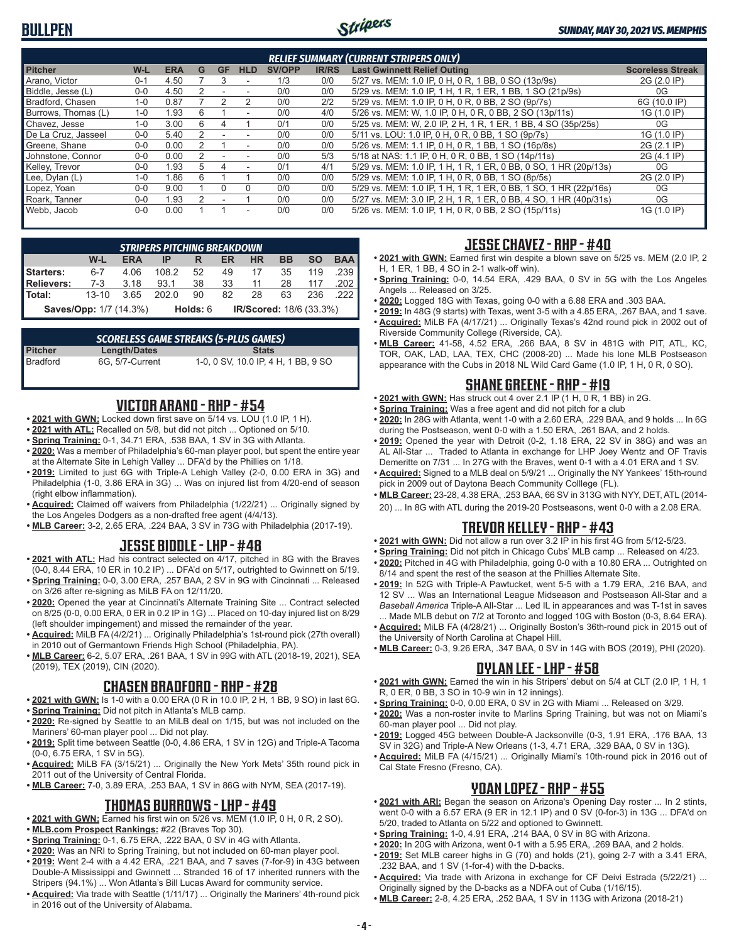# **BULLPEN**



|                                                                                                                                          | <b>RELIEF SUMMARY (CURRENT STRIPERS ONLY)</b>                                                             |            |   |           |            |               |              |                                                                  |                         |  |  |  |  |  |  |
|------------------------------------------------------------------------------------------------------------------------------------------|-----------------------------------------------------------------------------------------------------------|------------|---|-----------|------------|---------------|--------------|------------------------------------------------------------------|-------------------------|--|--|--|--|--|--|
| <b>Pitcher</b>                                                                                                                           | W-L                                                                                                       | <b>ERA</b> | G | <b>GF</b> | <b>HLD</b> | <b>SV/OPP</b> | <b>IR/RS</b> | <b>Last Gwinnett Relief Outing</b>                               | <b>Scoreless Streak</b> |  |  |  |  |  |  |
| Arano, Victor                                                                                                                            | $0 - 1$                                                                                                   | 4.50       |   |           | ۰          | 1/3           | 0/0          | 5/27 vs. MEM: 1.0 IP, 0 H, 0 R, 1 BB, 0 SO (13p/9s)              | 2G (2.0 IP)             |  |  |  |  |  |  |
| Biddle, Jesse (L)                                                                                                                        | $0 - 0$                                                                                                   | 4.50       |   |           |            | 0/0           | 0/0          | 5/29 vs. MEM: 1.0 IP, 1 H, 1 R, 1 ER, 1 BB, 1 SO (21p/9s)        | 0G                      |  |  |  |  |  |  |
| 2/2<br>5/29 vs. MEM: 1.0 IP, 0 H, 0 R, 0 BB, 2 SO (9p/7s)<br>Bradford, Chasen<br>0.87<br>0/0<br>$1 - 0$<br>2                             |                                                                                                           |            |   |           |            |               |              |                                                                  |                         |  |  |  |  |  |  |
| Burrows, Thomas (L)<br>5/26 vs. MEM: W, 1.0 IP, 0 H, 0 R, 0 BB, 2 SO (13p/11s)<br>0/0<br>1G (1.0 IP)<br>$1 - 0$<br>1.93<br>ี<br>4/0<br>۰ |                                                                                                           |            |   |           |            |               |              |                                                                  |                         |  |  |  |  |  |  |
| Chavez, Jesse                                                                                                                            | 0/1<br>5/25 vs. MEM: W, 2.0 IP, 2 H, 1 R, 1 ER, 1 BB, 4 SO (35p/25s)<br>$1 - 0$<br>3.00<br>6<br>0/0<br>0G |            |   |           |            |               |              |                                                                  |                         |  |  |  |  |  |  |
| De La Cruz. Jasseel                                                                                                                      | $0 - 0$                                                                                                   | 5.40       | 2 |           | ۰          | 0/0           | 0/0          | 5/11 vs. LOU: 1.0 IP, 0 H, 0 R, 0 BB, 1 SO (9p/7s)               | 1G (1.0 IP)             |  |  |  |  |  |  |
| Greene, Shane                                                                                                                            | $0 - 0$                                                                                                   | 0.00       |   |           | ٠          | 0/0           | 0/0          | 5/26 vs. MEM: 1.1 IP, 0 H, 0 R, 1 BB, 1 SO (16p/8s)              | 2G (2.1 IP)             |  |  |  |  |  |  |
| Johnstone, Connor                                                                                                                        | $0 - 0$                                                                                                   | 0.00       |   |           |            | 0/0           | 5/3          | 5/18 at NAS: 1.1 IP, 0 H, 0 R, 0 BB, 1 SO (14p/11s)              | 2G (4.1 IP)             |  |  |  |  |  |  |
| Kellev. Trevor                                                                                                                           | $0 - 0$                                                                                                   | .93        | 5 |           |            | 0/1           | 4/1          | 5/29 vs. MEM: 1.0 IP, 1 H, 1 R, 1 ER, 0 BB, 0 SO, 1 HR (20p/13s) | 0G                      |  |  |  |  |  |  |
| Lee, Dylan (L)                                                                                                                           | $1 - 0$                                                                                                   | 1.86       | հ |           |            | 0/0           | 0/0          | 5/29 vs. MEM: 1.0 IP, 1 H, 0 R, 0 BB, 1 SO (8p/5s)               | 2G (2.0 IP)             |  |  |  |  |  |  |
| Lopez, Yoan                                                                                                                              | $0 - 0$                                                                                                   | 9.00       |   |           | $\Omega$   | 0/0           | 0/0          | 5/29 vs. MEM: 1.0 IP, 1 H, 1 R, 1 ER, 0 BB, 1 SO, 1 HR (22p/16s) | 0G                      |  |  |  |  |  |  |
| Roark. Tanner                                                                                                                            | $0 - 0$                                                                                                   | .93        |   |           |            | 0/0           | 0/0          | 5/27 vs. MEM: 3.0 IP, 2 H, 1 R, 1 ER, 0 BB, 4 SO, 1 HR (40p/31s) | 0G                      |  |  |  |  |  |  |
| Webb, Jacob                                                                                                                              | $0 - 0$                                                                                                   | 0.00       |   |           | ٠          | 0/0           | 0/0          | 5/26 vs. MEM: 1.0 IP, 1 H, 0 R, 0 BB, 2 SO (15p/11s)             | 1G (1.0 IP)             |  |  |  |  |  |  |

|                   | <b>STRIPERS PITCHING BREAKDOWN</b>                            |            |       |    |    |           |    |           |            |  |  |  |  |  |
|-------------------|---------------------------------------------------------------|------------|-------|----|----|-----------|----|-----------|------------|--|--|--|--|--|
|                   | W-L                                                           | <b>ERA</b> | IP    |    | ER | <b>HR</b> | ВB | <b>SO</b> | <b>BAA</b> |  |  |  |  |  |
| Starters:         | $6 - 7$                                                       | 4.06       | 108.2 | 52 | 49 | 17        | 35 | 119       | .239       |  |  |  |  |  |
| <b>Relievers:</b> | $7-3$                                                         | 3.18       | 93.1  | 38 | 33 | 11        | 28 | 117       | 202        |  |  |  |  |  |
| Total:            | $13 - 10$                                                     | 3.65       | 202 Q | 90 | 82 | 28        | 63 | 236       | .222       |  |  |  |  |  |
|                   | IR/Scored: 18/6 (33.3%)<br>Saves/Opp: 1/7 (14.3%)<br>Holds: 6 |            |       |    |    |           |    |           |            |  |  |  |  |  |

|          |                 | <b>SCORELESS GAME STREAKS (5-PLUS GAMES)</b> |
|----------|-----------------|----------------------------------------------|
| Pitcher  | Length/Dates    | <b>Stats</b>                                 |
| Bradford | 6G. 5/7-Current | 1-0, 0 SV, 10.0 IP, 4 H, 1 BB, 9 SO          |

## **VICTOR ARANO - RHP - #54**

- 2021 with GWN: Locked down first save on 5/14 vs. LOU (1.0 IP, 1 H).
- **• 2021 with ATL:** Recalled on 5/8, but did not pitch ... Optioned on 5/10.
- **• Spring Training:** 0-1, 34.71 ERA, .538 BAA, 1 SV in 3G with Atlanta.
- **• 2020:** Was a member of Philadelphia's 60-man player pool, but spent the entire year at the Alternate Site in Lehigh Valley ... DFA'd by the Phillies on 1/18.
- **• 2019:** Limited to just 6G with Triple-A Lehigh Valley (2-0, 0.00 ERA in 3G) and Philadelphia (1-0, 3.86 ERA in 3G) ... Was on injured list from 4/20-end of season (right elbow inflammation).
- **• Acquired:** Claimed off waivers from Philadelphia (1/22/21) ... Originally signed by the Los Angeles Dodgers as a non-drafted free agent (4/4/13).
- **• MLB Career:** 3-2, 2.65 ERA, .224 BAA, 3 SV in 73G with Philadelphia (2017-19).

#### **JESSE BIDDLE - LHP - #48**

- **• 2021 with ATL:** Had his contract selected on 4/17, pitched in 8G with the Braves (0-0, 8.44 ERA, 10 ER in 10.2 IP) ... DFA'd on 5/17, outrighted to Gwinnett on 5/19.
- **• Spring Training:** 0-0, 3.00 ERA, .257 BAA, 2 SV in 9G with Cincinnati ... Released on 3/26 after re-signing as MiLB FA on 12/11/20.
- **• 2020:** Opened the year at Cincinnati's Alternate Training Site ... Contract selected on 8/25 (0-0, 0.00 ERA, 0 ER in 0.2 IP in 1G) ... Placed on 10-day injured list on 8/29 (left shoulder impingement) and missed the remainder of the year.
- **• Acquired:** MiLB FA (4/2/21) ... Originally Philadelphia's 1st-round pick (27th overall) in 2010 out of Germantown Friends High School (Philadelphia, PA).
- **• MLB Career:** 6-2, 5.07 ERA, .261 BAA, 1 SV in 99G with ATL (2018-19, 2021), SEA (2019), TEX (2019), CIN (2020).

# **CHASEN BRADFORD - RHP - #28**

- **• 2021 with GWN:** Is 1-0 with a 0.00 ERA (0 R in 10.0 IP, 2 H, 1 BB, 9 SO) in last 6G. **• Spring Training:** Did not pitch in Atlanta's MLB camp.
- **• 2020:** Re-signed by Seattle to an MiLB deal on 1/15, but was not included on the Mariners' 60-man player pool ... Did not play.
- **• 2019:** Split time between Seattle (0-0, 4.86 ERA, 1 SV in 12G) and Triple-A Tacoma (0-0, 6.75 ERA, 1 SV in 5G).
- **• Acquired:** MiLB FA (3/15/21) ... Originally the New York Mets' 35th round pick in 2011 out of the University of Central Florida.
- **• MLB Career:** 7-0, 3.89 ERA, .253 BAA, 1 SV in 86G with NYM, SEA (2017-19).

# **THOMAS BURROWS - LHP - #49**

- **• 2021 with GWN:** Earned his first win on 5/26 vs. MEM (1.0 IP, 0 H, 0 R, 2 SO).
- **• MLB.com Prospect Rankings:** #22 (Braves Top 30).
- **• Spring Training:** 0-1, 6.75 ERA, .222 BAA, 0 SV in 4G with Atlanta.
- **• 2020:** Was an NRI to Spring Training, but not included on 60-man player pool.
- **• 2019:** Went 2-4 with a 4.42 ERA, .221 BAA, and 7 saves (7-for-9) in 43G between Double-A Mississippi and Gwinnett ... Stranded 16 of 17 inherited runners with the Stripers (94.1%) ... Won Atlanta's Bill Lucas Award for community service.
- **• Acquired:** Via trade with Seattle (1/11/17) ... Originally the Mariners' 4th-round pick in 2016 out of the University of Alabama.

#### **JESSE CHAVEZ - RHP - #40**

- **• 2021 with GWN:** Earned first win despite a blown save on 5/25 vs. MEM (2.0 IP, 2 H, 1 ER, 1 BB, 4 SO in 2-1 walk-off win).
- **• Spring Training:** 0-0, 14.54 ERA, .429 BAA, 0 SV in 5G with the Los Angeles Angels ... Released on 3/25.
- **• 2020:** Logged 18G with Texas, going 0-0 with a 6.88 ERA and .303 BAA.
- **• 2019:** In 48G (9 starts) with Texas, went 3-5 with a 4.85 ERA, .267 BAA, and 1 save. **• Acquired:** MiLB FA (4/17/21) ... Originally Texas's 42nd round pick in 2002 out of Riverside Community College (Riverside, CA).
- **• MLB Career:** 41-58, 4.52 ERA, .266 BAA, 8 SV in 481G with PIT, ATL, KC, TOR, OAK, LAD, LAA, TEX, CHC (2008-20) ... Made his lone MLB Postseason appearance with the Cubs in 2018 NL Wild Card Game (1.0 IP, 1 H, 0 R, 0 SO).

# **SHANE GREENE - RHP - #19**

- **• 2021 with GWN:** Has struck out 4 over 2.1 IP (1 H, 0 R, 1 BB) in 2G.
- **• Spring Training:** Was a free agent and did not pitch for a club
- **• 2020:** In 28G with Atlanta, went 1-0 with a 2.60 ERA, .229 BAA, and 9 holds ... In 6G during the Postseason, went 0-0 with a 1.50 ERA, .261 BAA, and 2 holds.
- **• 2019:** Opened the year with Detroit (0-2, 1.18 ERA, 22 SV in 38G) and was an AL All-Star ... Traded to Atlanta in exchange for LHP Joey Wentz and OF Travis Demeritte on 7/31 ... In 27G with the Braves, went 0-1 with a 4.01 ERA and 1 SV.
- **• Acquired:** Signed to a MLB deal on 5/9/21 ... Originally the NY Yankees' 15th-round pick in 2009 out of Daytona Beach Community Colllege (FL).
- **• MLB Career:** 23-28, 4.38 ERA, .253 BAA, 66 SV in 313G with NYY, DET, ATL (2014- 20) ... In 8G with ATL during the 2019-20 Postseasons, went 0-0 with a 2.08 ERA.

#### **TREVOR KELLEY - RHP - #43**

- **• 2021 with GWN:** Did not allow a run over 3.2 IP in his first 4G from 5/12-5/23.
- **• Spring Training:** Did not pitch in Chicago Cubs' MLB camp ... Released on 4/23.
- **• 2020:** Pitched in 4G with Philadelphia, going 0-0 with a 10.80 ERA ... Outrighted on 8/14 and spent the rest of the season at the Phillies Alternate Site.
- **• 2019:** In 52G with Triple-A Pawtucket, went 5-5 with a 1.79 ERA, .216 BAA, and 12 SV ... Was an International League Midseason and Postseason All-Star and a *Baseball America* Triple-A All-Star ... Led IL in appearances and was T-1st in saves ... Made MLB debut on 7/2 at Toronto and logged 10G with Boston (0-3, 8.64 ERA).
- **• Acquired:** MiLB FA (4/28/21) ... Originally Boston's 36th-round pick in 2015 out of the University of North Carolina at Chapel Hill.
- **• MLB Career:** 0-3, 9.26 ERA, .347 BAA, 0 SV in 14G with BOS (2019), PHI (2020).

## **DYLAN LEE - LHP - #58**

- **• 2021 with GWN:** Earned the win in his Stripers' debut on 5/4 at CLT (2.0 IP, 1 H, 1 R, 0 ER, 0 BB, 3 SO in 10-9 win in 12 innings).
- **• Spring Training:** 0-0, 0.00 ERA, 0 SV in 2G with Miami ... Released on 3/29.
- **• 2020:** Was a non-roster invite to Marlins Spring Training, but was not on Miami's 60-man player pool ... Did not play.
- **• 2019:** Logged 45G between Double-A Jacksonville (0-3, 1.91 ERA, .176 BAA, 13 SV in 32G) and Triple-A New Orleans (1-3, 4.71 ERA, .329 BAA, 0 SV in 13G).
- **• Acquired:** MiLB FA (4/15/21) ... Originally Miami's 10th-round pick in 2016 out of Cal State Fresno (Fresno, CA).

#### **YOAN LOPEZ - RHP - #55**

- **• 2021 with ARI:** Began the season on Arizona's Opening Day roster ... In 2 stints, went 0-0 with a 6.57 ERA (9 ER in 12.1 IP) and 0 SV (0-for-3) in 13G ... DFA'd on 5/20, traded to Atlanta on 5/22 and optioned to Gwinnett.
- **• Spring Training:** 1-0, 4.91 ERA, .214 BAA, 0 SV in 8G with Arizona.
- **• 2020:** In 20G with Arizona, went 0-1 with a 5.95 ERA, .269 BAA, and 2 holds.
- **• 2019:** Set MLB career highs in G (70) and holds (21), going 2-7 with a 3.41 ERA, .232 BAA, and 1 SV (1-for-4) with the D-backs.
- **• Acquired:** Via trade with Arizona in exchange for CF Deivi Estrada (5/22/21) ... Originally signed by the D-backs as a NDFA out of Cuba (1/16/15).
- **• MLB Career:** 2-8, 4.25 ERA, .252 BAA, 1 SV in 113G with Arizona (2018-21)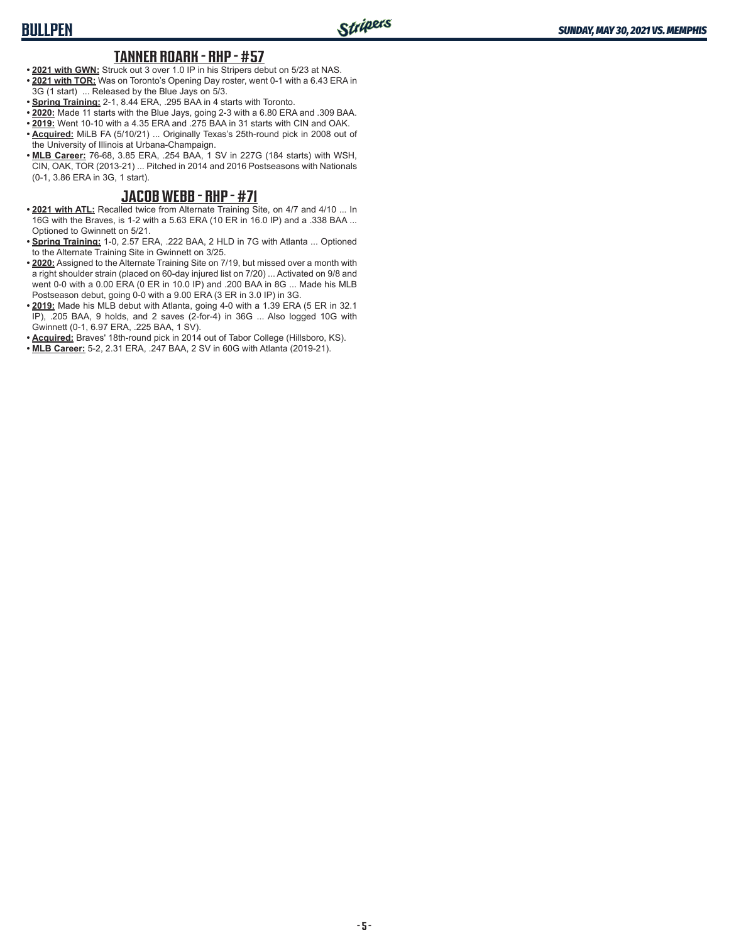#### **TANNER ROARK - RHP - #57**

- **• 2021 with GWN:** Struck out 3 over 1.0 IP in his Stripers debut on 5/23 at NAS. **• 2021 with TOR:** Was on Toronto's Opening Day roster, went 0-1 with a 6.43 ERA in 3G (1 start) ... Released by the Blue Jays on 5/3.
- 
- **• Spring Training:** 2-1, 8.44 ERA, .295 BAA in 4 starts with Toronto. **• 2020:** Made 11 starts with the Blue Jays, going 2-3 with a 6.80 ERA and .309 BAA.
- **• 2019:** Went 10-10 with a 4.35 ERA and .275 BAA in 31 starts with CIN and OAK.
- **• Acquired:** MiLB FA (5/10/21) ... Originally Texas's 25th-round pick in 2008 out of the University of Illinois at Urbana-Champaign.
- **• MLB Career:** 76-68, 3.85 ERA, .254 BAA, 1 SV in 227G (184 starts) with WSH, CIN, OAK, TOR (2013-21) ... Pitched in 2014 and 2016 Postseasons with Nationals (0-1, 3.86 ERA in 3G, 1 start).

#### **JACOB WEBB - RHP - #71**

- **• 2021 with ATL:** Recalled twice from Alternate Training Site, on 4/7 and 4/10 ... In 16G with the Braves, is 1-2 with a 5.63 ERA (10 ER in 16.0 IP) and a .338 BAA ... Optioned to Gwinnett on 5/21.
- **• Spring Training:** 1-0, 2.57 ERA, .222 BAA, 2 HLD in 7G with Atlanta ... Optioned to the Alternate Training Site in Gwinnett on 3/25.
- **• 2020:** Assigned to the Alternate Training Site on 7/19, but missed over a month with a right shoulder strain (placed on 60-day injured list on 7/20) ... Activated on 9/8 and went 0-0 with a 0.00 ERA (0 ER in 10.0 IP) and .200 BAA in 8G ... Made his MLB Postseason debut, going 0-0 with a 9.00 ERA (3 ER in 3.0 IP) in 3G.
- **• 2019:** Made his MLB debut with Atlanta, going 4-0 with a 1.39 ERA (5 ER in 32.1 IP), .205 BAA, 9 holds, and 2 saves (2-for-4) in 36G ... Also logged 10G with Gwinnett (0-1, 6.97 ERA, .225 BAA, 1 SV).
- **• Acquired:** Braves' 18th-round pick in 2014 out of Tabor College (Hillsboro, KS).
- **• MLB Career:** 5-2, 2.31 ERA, .247 BAA, 2 SV in 60G with Atlanta (2019-21).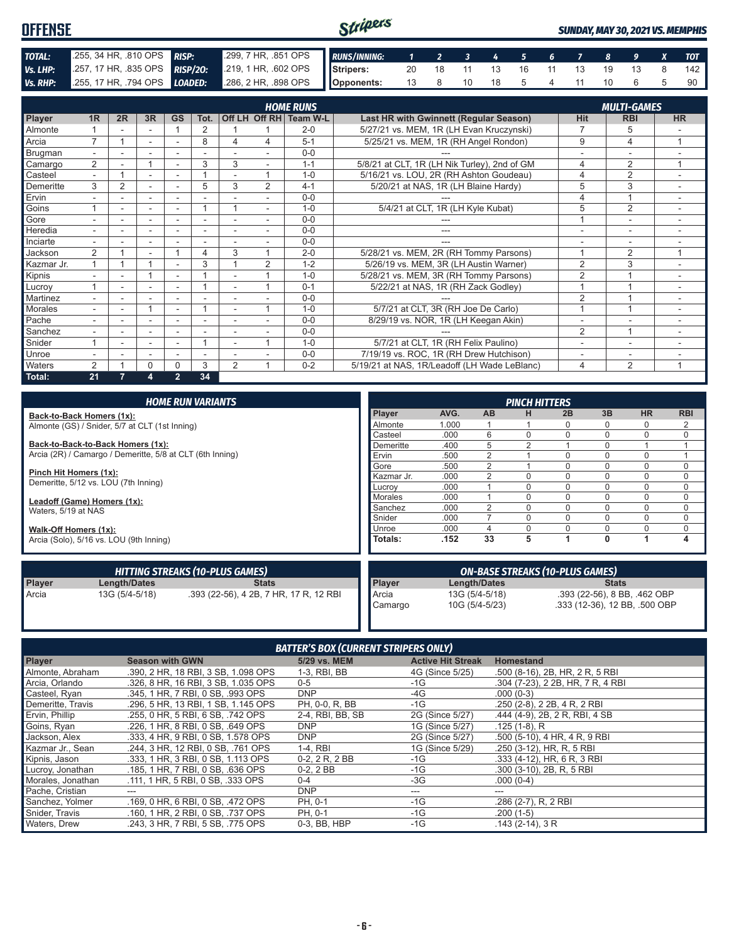#### Stripers **OFFENSE** *SUNDAY, MAY 30, 2021 VS. MEMPHIS TOTAL:* .255, 34 HR, .810 OPS *RISP:* .299, 7 HR, .851 OPS *RUNS/INNING: 1 2 3 4 5 6 7 8 9 X TOT Vs. LHP:* .257, 17 HR, .835 OPS **RISP/20:** .219, 1 HR, .602 OPS **Stripers:** 20 18 11 13 16 11 13 19 13 8 142 *Vs. RHP:* .255, 17 HR, .794 OPS *LOADED:* .286, 2 HR, .898 OPS **Opponents:** 13 8 10 18 5 4 11 10 6 5 90

|                |                          |                |    |                          |      |                |   | <b>HOME RUNS</b>       |                                              |                          | <b>MULTI-GAMES</b>       |                          |
|----------------|--------------------------|----------------|----|--------------------------|------|----------------|---|------------------------|----------------------------------------------|--------------------------|--------------------------|--------------------------|
| Player         | 1 <sub>R</sub>           | 2R             | 3R | <b>GS</b>                | Tot. |                |   | Off LH Off RH Team W-L | Last HR with Gwinnett (Regular Season)       | <b>Hit</b>               | <b>RBI</b>               | <b>HR</b>                |
| <b>Almonte</b> |                          |                |    |                          | 2    |                |   | $2 - 0$                | 5/27/21 vs. MEM, 1R (LH Evan Kruczynski)     |                          | 5                        |                          |
| Arcia          | $\overline{\phantom{a}}$ |                | ٠  | $\overline{\phantom{a}}$ | 8    | 4              | 4 | $5 - 1$                | 5/25/21 vs. MEM, 1R (RH Angel Rondon)        | 9                        | 4                        |                          |
| Brugman        | $\overline{\phantom{0}}$ | ٠              | ۰  | $\overline{\phantom{a}}$ | ٠    |                |   | $0 - 0$                |                                              |                          | $\overline{\phantom{a}}$ |                          |
| Camargo        | 2                        |                |    |                          | 3    | 3              |   | $1 - 1$                | 5/8/21 at CLT, 1R (LH Nik Turley), 2nd of GM | 4                        | 2                        | $\overline{A}$           |
| Casteel        | $\sim$                   |                |    |                          |      |                | и | $1 - 0$                | 5/16/21 vs. LOU, 2R (RH Ashton Goudeau)      | 4                        | 2                        | $\overline{\phantom{a}}$ |
| Demeritte      | 3                        | $\overline{2}$ | ٠  |                          | 5    | 3              | 2 | $4 - 1$                | 5/20/21 at NAS, 1R (LH Blaine Hardy)         | 5                        | 3                        |                          |
| Ervin          |                          | ٠              | ۰  | ٠                        |      |                |   | $0 - 0$                |                                              | 4                        |                          | ٠                        |
| Goins          |                          |                |    |                          |      |                |   | $1 - 0$                | 5/4/21 at CLT, 1R (LH Kyle Kubat)            | 5                        | $\overline{2}$           | ٠                        |
| Gore           | $\sim$                   |                | ٠  | ٠                        | ٠    | ÷,             |   | $0 - 0$                |                                              |                          | $\sim$                   | ۰                        |
| Heredia        |                          |                | ۰  | ٠                        | ۰    |                |   | $0 - 0$                | ---                                          | $\overline{\phantom{a}}$ | ٠                        |                          |
| Inciarte       |                          |                |    |                          |      |                |   | $0 - 0$                |                                              |                          |                          |                          |
| Jackson        | $\overline{2}$           |                |    |                          | 4    | 3              |   | $2 - 0$                | 5/28/21 vs. MEM, 2R (RH Tommy Parsons)       |                          | 2                        | 1                        |
| Kazmar Jr.     |                          |                |    | ٠                        | 3    |                | 2 | $1 - 2$                | 5/26/19 vs. MEM, 3R (LH Austin Warner)       | $\overline{2}$           | 3                        | -                        |
| Kipnis         |                          |                |    | ٠                        |      |                |   | $1 - 0$                | 5/28/21 vs. MEM, 3R (RH Tommy Parsons)       | $\overline{2}$           |                          |                          |
| Lucroy         |                          |                |    |                          |      |                |   | $0 - 1$                | 5/22/21 at NAS, 1R (RH Zack Godley)          |                          |                          | $\overline{\phantom{a}}$ |
| Martinez       | $\overline{\phantom{0}}$ | ۰              |    | ٠                        |      | $\overline{a}$ |   | $0 - 0$                |                                              | $\overline{2}$           |                          | $\overline{\phantom{a}}$ |
| Morales        | $\overline{\phantom{0}}$ | ۰              |    | ٠                        |      | ٠              |   | $1 - 0$                | 5/7/21 at CLT, 3R (RH Joe De Carlo)          |                          |                          | ٠                        |
| Pache          |                          |                | ۰  | $\overline{\phantom{a}}$ | ٠    |                |   | $0 - 0$                | 8/29/19 vs. NOR, 1R (LH Keegan Akin)         |                          |                          |                          |
| Sanchez        |                          |                |    |                          |      |                |   | $0-0$                  |                                              | 2                        | $\overline{ }$           |                          |
| Snider         |                          |                | ٠  |                          |      |                |   | $1 - 0$                | 5/7/21 at CLT, 1R (RH Felix Paulino)         |                          | ٠                        | $\overline{\phantom{a}}$ |
| Unroe          |                          |                | ٠  | $\overline{\phantom{a}}$ |      |                |   | $0 - 0$                | 7/19/19 vs. ROC, 1R (RH Drew Hutchison)      |                          | ۰                        |                          |
| <b>Waters</b>  | 2                        |                | 0  | 0                        | 3    | 2              |   | $0 - 2$                | 5/19/21 at NAS, 1R/Leadoff (LH Wade LeBlanc) | 4                        | $\overline{2}$           | -1                       |
| Total:         | 21                       |                | 4  | $\overline{2}$           | 34   |                |   |                        |                                              |                          |                          |                          |

|                                                    |                                                           | <b>HOME RUN VARIANTS</b>               |            |      |                | <b>PINCH HITTERS</b> |                                        |              |                               |             |
|----------------------------------------------------|-----------------------------------------------------------|----------------------------------------|------------|------|----------------|----------------------|----------------------------------------|--------------|-------------------------------|-------------|
|                                                    | Back-to-Back Homers (1x):                                 |                                        | Player     | AVG. | <b>AB</b>      | н                    | 2B                                     | 3B           | <b>HR</b>                     | <b>RBI</b>  |
| Almonte (GS) / Snider, 5/7 at CLT (1st Inning)     |                                                           | Almonte                                | 1.000      |      |                | 0                    | $\Omega$                               | 0            | 2                             |             |
|                                                    |                                                           |                                        | Casteel    | .000 | 6              |                      | 0                                      | 0            | 0                             | $\mathbf 0$ |
|                                                    | Back-to-Back-to-Back Homers (1x):                         |                                        | Demeritte  | .400 | 5              |                      |                                        | 0            |                               |             |
|                                                    | Arcia (2R) / Camargo / Demeritte, 5/8 at CLT (6th Inning) |                                        | Ervin      | .500 |                |                      | $\Omega$                               | 0            | $\Omega$                      |             |
|                                                    |                                                           |                                        | Gore       | .500 | 2              |                      | 0                                      | 0            | 0                             | 0           |
| Pinch Hit Homers (1x):                             |                                                           |                                        | Kazmar Jr. | .000 |                |                      | 0                                      | 0            | 0                             | $\Omega$    |
|                                                    | Demeritte, 5/12 vs. LOU (7th Inning)                      |                                        | Lucrov     | .000 |                | $\Omega$             | $\Omega$                               | 0            | $\Omega$                      | 0           |
| Leadoff (Game) Homers (1x):<br>Waters, 5/19 at NAS |                                                           | Morales                                | .000       |      | $\Omega$       | $\Omega$             | 0                                      | $\Omega$     | $\Omega$                      |             |
|                                                    |                                                           | Sanchez                                | .000       | 2    | $\Omega$       | $\Omega$             | 0                                      | $\Omega$     | 0                             |             |
|                                                    |                                                           |                                        | Snider     | .000 |                |                      | $\Omega$                               | 0            | 0                             | $\mathbf 0$ |
| Walk-Off Homers (1x):                              |                                                           |                                        | Unroe      | .000 |                |                      |                                        | 0            | $\Omega$                      | $\mathbf 0$ |
| Arcia (Solo), 5/16 vs. LOU (9th Inning)            |                                                           | <b>Totals:</b>                         | .152       | 33   | 5              |                      | $\mathbf{0}$                           |              | 4                             |             |
|                                                    |                                                           | <b>HITTING STREAKS (10-PLUS GAMES)</b> |            |      |                |                      | <b>ON-BASE STREAKS (10-PLUS GAMES)</b> |              |                               |             |
| Player                                             | <b>Length/Dates</b>                                       | <b>Stats</b>                           | Player     |      | Length/Dates   |                      |                                        | <b>Stats</b> |                               |             |
| Arcia                                              | 13G (5/4-5/18)                                            | .393 (22-56), 4 2B, 7 HR, 17 R, 12 RBI | Arcia      |      | 13G (5/4-5/18) |                      |                                        |              | .393 (22-56), 8 BB, .462 OBP  |             |
|                                                    |                                                           |                                        | Camargo    |      | 10G (5/4-5/23) |                      |                                        |              | .333 (12-36), 12 BB, .500 OBP |             |

| <b>BATTER'S BOX (CURRENT STRIPERS ONLY)</b> |                                     |                  |                          |                                   |  |
|---------------------------------------------|-------------------------------------|------------------|--------------------------|-----------------------------------|--|
| <b>Player</b>                               | <b>Season with GWN</b>              | 5/29 vs. MEM     | <b>Active Hit Streak</b> | <b>Homestand</b>                  |  |
| Almonte, Abraham                            | .390, 2 HR, 18 RBI, 3 SB, 1.098 OPS | 1-3, RBI, BB     | 4G (Since 5/25)          | .500 (8-16), 2B, HR, 2 R, 5 RBI   |  |
| Arcia, Orlando                              | .326, 8 HR, 16 RBI, 3 SB, 1.035 OPS | $0 - 5$          | $-1G$                    | .304 (7-23), 2 2B, HR, 7 R, 4 RBI |  |
| Casteel, Ryan                               | .345. 1 HR. 7 RBI. 0 SB. .993 OPS   | <b>DNP</b>       | -4G                      | $.000(0-3)$                       |  |
| Demeritte, Travis                           | .296, 5 HR, 13 RBI, 1 SB, 1.145 OPS | PH, 0-0, R, BB   | -1G                      | .250 (2-8), 2 2B, 4 R, 2 RBI      |  |
| Ervin, Phillip                              | .255, 0 HR, 5 RBI, 6 SB, .742 OPS   | 2-4, RBI, BB, SB | 2G (Since 5/27)          | .444 (4-9), 2B, 2R, RBI, 4 SB     |  |
| Goins, Ryan                                 | .226, 1 HR, 8 RBI, 0 SB, .649 OPS   | <b>DNP</b>       | 1G (Since 5/27)          | $.125(1-8)$ , R                   |  |
| Jackson, Alex                               | .333, 4 HR, 9 RBI, 0 SB, 1.578 OPS  | <b>DNP</b>       | 2G (Since 5/27)          | .500 (5-10), 4 HR, 4 R, 9 RBI     |  |
| Kazmar Jr., Sean                            | .244, 3 HR, 12 RBI, 0 SB, .761 OPS  | 1-4, RBI         | 1G (Since 5/29)          | .250 (3-12), HR, R, 5 RBI         |  |
| Kipnis, Jason                               | .333, 1 HR, 3 RBI, 0 SB, 1.113 OPS  | 0-2, 2 R, 2 BB   | $-1G$                    | .333 (4-12), HR, 6 R, 3 RBI       |  |
| Lucroy, Jonathan                            | .185, 1 HR, 7 RBI, 0 SB, .636 OPS   | $0-2, 2BB$       | $-1G$                    | .300 (3-10), 2B, R, 5 RBI         |  |
| Morales, Jonathan                           | .111, 1 HR, 5 RBI, 0 SB, .333 OPS   | $0 - 4$          | $-3G$                    | $.000(0-4)$                       |  |
| Pache, Cristian                             |                                     | <b>DNP</b>       | ---                      | ---                               |  |
| Sanchez, Yolmer                             | .169, 0 HR, 6 RBI, 0 SB, .472 OPS   | PH. 0-1          | $-1G$                    | .286 (2-7), R, 2 RBI              |  |
| Snider, Travis                              | .160. 1 HR. 2 RBI. 0 SB. .737 OPS   | PH. 0-1          | -1G                      | $.200(1-5)$                       |  |
| Waters, Drew                                | .243. 3 HR. 7 RBI. 5 SB. .775 OPS   | 0-3, BB, HBP     | $-1G$                    | $.143(2-14), 3R$                  |  |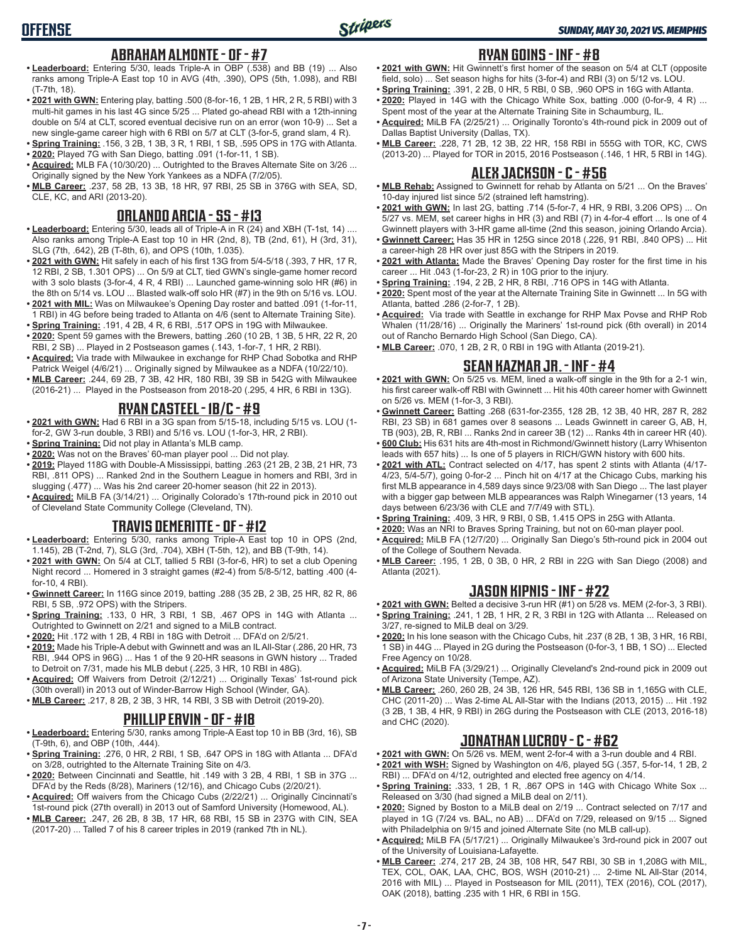# **OFFENSE**

#### **ABRAHAM ALMONTE - OF - #7**

- **• Leaderboard:** Entering 5/30, leads Triple-A in OBP (.538) and BB (19) ... Also ranks among Triple-A East top 10 in AVG (4th, .390), OPS (5th, 1.098), and RBI (T-7th, 18).
- **• 2021 with GWN:** Entering play, batting .500 (8-for-16, 1 2B, 1 HR, 2 R, 5 RBI) with 3 multi-hit games in his last 4G since 5/25 ... Plated go-ahead RBI with a 12th-inning double on 5/4 at CLT, scored eventual decisive run on an error (won 10-9) ... Set a new single-game career high with 6 RBI on 5/7 at CLT (3-for-5, grand slam, 4 R).
- **• Spring Training:** .156, 3 2B, 1 3B, 3 R, 1 RBI, 1 SB, .595 OPS in 17G with Atlanta. **• 2020:** Played 7G with San Diego, batting .091 (1-for-11, 1 SB).
- **• Acquired:** MLB FA (10/30/20) ... Outrighted to the Braves Alternate Site on 3/26 ... Originally signed by the New York Yankees as a NDFA (7/2/05).
- **• MLB Career:** .237, 58 2B, 13 3B, 18 HR, 97 RBI, 25 SB in 376G with SEA, SD, CLE, KC, and ARI (2013-20).

## **ORLANDO ARCIA - SS - #13**

- **• Leaderboard:** Entering 5/30, leads all of Triple-A in R (24) and XBH (T-1st, 14) .... Also ranks among Triple-A East top 10 in HR (2nd, 8), TB (2nd, 61), H (3rd, 31), SLG (7th, .642), 2B (T-8th, 6), and OPS (10th, 1.035).
- **• 2021 with GWN:** Hit safely in each of his first 13G from 5/4-5/18 (.393, 7 HR, 17 R, 12 RBI, 2 SB, 1.301 OPS) ... On 5/9 at CLT, tied GWN's single-game homer record with 3 solo blasts (3-for-4, 4 R, 4 RBI) ... Launched game-winning solo HR (#6) in the 8th on 5/14 vs. LOU ... Blasted walk-off solo HR (#7) in the 9th on 5/16 vs. LOU.
- **• 2021 with MIL:** Was on Milwaukee's Opening Day roster and batted .091 (1-for-11, 1 RBI) in 4G before being traded to Atlanta on 4/6 (sent to Alternate Training Site).
- **• Spring Training:** .191, 4 2B, 4 R, 6 RBI, .517 OPS in 19G with Milwaukee. **• 2020:** Spent 59 games with the Brewers, batting .260 (10 2B, 1 3B, 5 HR, 22 R, 20
- RBI, 2 SB) ... Played in 2 Postseason games (.143, 1-for-7, 1 HR, 2 RBI). **• Acquired:** Via trade with Milwaukee in exchange for RHP Chad Sobotka and RHP
- Patrick Weigel (4/6/21) ... Originally signed by Milwaukee as a NDFA (10/22/10). **• MLB Career:** .244, 69 2B, 7 3B, 42 HR, 180 RBI, 39 SB in 542G with Milwaukee
- (2016-21) ... Played in the Postseason from 2018-20 (.295, 4 HR, 6 RBI in 13G).

#### **RYAN CASTEEL - 1B/C - #9**

- **• 2021 with GWN:** Had 6 RBI in a 3G span from 5/15-18, including 5/15 vs. LOU (1 for-2, GW 3-run double, 3 RBI) and 5/16 vs. LOU (1-for-3, HR, 2 RBI).
- **• Spring Training:** Did not play in Atlanta's MLB camp.
- **• 2020:** Was not on the Braves' 60-man player pool ... Did not play.
- **• 2019:** Played 118G with Double-A Mississippi, batting .263 (21 2B, 2 3B, 21 HR, 73 RBI, .811 OPS) ... Ranked 2nd in the Southern League in homers and RBI, 3rd in slugging (.477) ... Was his 2nd career 20-homer season (hit 22 in 2013).
- **• Acquired:** MiLB FA (3/14/21) ... Originally Colorado's 17th-round pick in 2010 out of Cleveland State Community College (Cleveland, TN).

## **TRAVIS DEMERITTE - OF - #12**

- **• Leaderboard:** Entering 5/30, ranks among Triple-A East top 10 in OPS (2nd, 1.145), 2B (T-2nd, 7), SLG (3rd, .704), XBH (T-5th, 12), and BB (T-9th, 14).
- **• 2021 with GWN:** On 5/4 at CLT, tallied 5 RBI (3-for-6, HR) to set a club Opening Night record ... Homered in 3 straight games (#2-4) from 5/8-5/12, batting .400 (4 for-10, 4 RBI).
- **• Gwinnett Career:** In 116G since 2019, batting .288 (35 2B, 2 3B, 25 HR, 82 R, 86 RBI, 5 SB, .972 OPS) with the Stripers.
- **• Spring Training:** .133, 0 HR, 3 RBI, 1 SB, .467 OPS in 14G with Atlanta ... Outrighted to Gwinnett on 2/21 and signed to a MiLB contract.
- **• 2020:** Hit .172 with 1 2B, 4 RBI in 18G with Detroit ... DFA'd on 2/5/21.
- **• 2019:** Made his Triple-A debut with Gwinnett and was an IL All-Star (.286, 20 HR, 73 RBI, .944 OPS in 96G) ... Has 1 of the 9 20-HR seasons in GWN history ... Traded to Detroit on 7/31, made his MLB debut (.225, 3 HR, 10 RBI in 48G).
- **• Acquired:** Off Waivers from Detroit (2/12/21) ... Originally Texas' 1st-round pick (30th overall) in 2013 out of Winder-Barrow High School (Winder, GA).
- **• MLB Career:** .217, 8 2B, 2 3B, 3 HR, 14 RBI, 3 SB with Detroit (2019-20).

## **PHILLIP ERVIN - OF - #18**

- **• Leaderboard:** Entering 5/30, ranks among Triple-A East top 10 in BB (3rd, 16), SB (T-9th, 6), and OBP (10th, .444).
- **• Spring Training:** .276, 0 HR, 2 RBI, 1 SB, .647 OPS in 18G with Atlanta ... DFA'd on 3/28, outrighted to the Alternate Training Site on 4/3.
- **• 2020:** Between Cincinnati and Seattle, hit .149 with 3 2B, 4 RBI, 1 SB in 37G ... DFA'd by the Reds (8/28), Mariners (12/16), and Chicago Cubs (2/20/21).
- **• Acquired:** Off waivers from the Chicago Cubs (2/22/21) ... Originally Cincinnati's 1st-round pick (27th overall) in 2013 out of Samford University (Homewood, AL).
- **• MLB Career:** .247, 26 2B, 8 3B, 17 HR, 68 RBI, 15 SB in 237G with CIN, SEA (2017-20) ... Talled 7 of his 8 career triples in 2019 (ranked 7th in NL).

#### **RYAN GOINS - INF - #8**

- **• 2021 with GWN:** Hit Gwinnett's first homer of the season on 5/4 at CLT (opposite field, solo) ... Set season highs for hits (3-for-4) and RBI (3) on 5/12 vs. LOU.
- **• Spring Training:** .391, 2 2B, 0 HR, 5 RBI, 0 SB, .960 OPS in 16G with Atlanta.
- **• 2020:** Played in 14G with the Chicago White Sox, batting .000 (0-for-9, 4 R) ... Spent most of the year at the Alternate Training Site in Schaumburg, IL.
- **• Acquired:** MiLB FA (2/25/21) ... Originally Toronto's 4th-round pick in 2009 out of Dallas Baptist University (Dallas, TX).
- **• MLB Career:** .228, 71 2B, 12 3B, 22 HR, 158 RBI in 555G with TOR, KC, CWS (2013-20) ... Played for TOR in 2015, 2016 Postseason (.146, 1 HR, 5 RBI in 14G).

## **ALEX JACKSON - C - #56**

- **• MLB Rehab:** Assigned to Gwinnett for rehab by Atlanta on 5/21 ... On the Braves' 10-day injured list since 5/2 (strained left hamstring).
- **• 2021 with GWN:** In last 2G, batting .714 (5-for-7, 4 HR, 9 RBI, 3.206 OPS) ... On 5/27 vs. MEM, set career highs in HR (3) and RBI (7) in 4-for-4 effort ... Is one of 4 Gwinnett players with 3-HR game all-time (2nd this season, joining Orlando Arcia).
- **• Gwinnett Career:** Has 35 HR in 125G since 2018 (.226, 91 RBI, .840 OPS) ... Hit a career-high 28 HR over just 85G with the Stripers in 2019.
- **• 2021 with Atlanta:** Made the Braves' Opening Day roster for the first time in his career ... Hit .043 (1-for-23, 2 R) in 10G prior to the injury.
- **• Spring Training:** .194, 2 2B, 2 HR, 8 RBI, .716 OPS in 14G with Atlanta.
- **• 2020:** Spent most of the year at the Alternate Training Site in Gwinnett ... In 5G with Atlanta, batted .286 (2-for-7, 1 2B).
- **• Acquired:** Via trade with Seattle in exchange for RHP Max Povse and RHP Rob Whalen (11/28/16) ... Originally the Mariners' 1st-round pick (6th overall) in 2014 out of Rancho Bernardo High School (San Diego, CA).
- **• MLB Career:** .070, 1 2B, 2 R, 0 RBI in 19G with Atlanta (2019-21).

# **SEAN KAZMAR JR. - INF - #4**

- **• 2021 with GWN:** On 5/25 vs. MEM, lined a walk-off single in the 9th for a 2-1 win, his first career walk-off RBI with Gwinnett ... Hit his 40th career homer with Gwinnett on 5/26 vs. MEM (1-for-3, 3 RBI).
- **• Gwinnett Career:** Batting .268 (631-for-2355, 128 2B, 12 3B, 40 HR, 287 R, 282 RBI, 23 SB) in 681 games over 8 seasons ... Leads Gwinnett in career G, AB, H, TB (903), 2B, R, RBI ... Ranks 2nd in career 3B (12) ... Ranks 4th in career HR (40).
- **• 600 Club:** His 631 hits are 4th-most in Richmond/Gwinnett history (Larry Whisenton leads with 657 hits) ... Is one of 5 players in RICH/GWN history with 600 hits.
- **• 2021 with ATL:** Contract selected on 4/17, has spent 2 stints with Atlanta (4/17- 4/23, 5/4-5/7), going 0-for-2 ... Pinch hit on 4/17 at the Chicago Cubs, marking his first MLB appearance in 4,589 days since 9/23/08 with San Diego ... The last player with a bigger gap between MLB appearances was Ralph Winegarner (13 years, 14 days between 6/23/36 with CLE and 7/7/49 with STL).
- **• Spring Training:** .409, 3 HR, 9 RBI, 0 SB, 1.415 OPS in 25G with Atlanta.
- **• 2020:** Was an NRI to Braves Spring Training, but not on 60-man player pool.
- **• Acquired:** MiLB FA (12/7/20) ... Originally San Diego's 5th-round pick in 2004 out of the College of Southern Nevada.
- **• MLB Career:** .195, 1 2B, 0 3B, 0 HR, 2 RBI in 22G with San Diego (2008) and Atlanta (2021).

#### **JASON KIPNIS - INF - #22**

- **• 2021 with GWN:** Belted a decisive 3-run HR (#1) on 5/28 vs. MEM (2-for-3, 3 RBI). **• Spring Training:** .241, 1 2B, 1 HR, 2 R, 3 RBI in 12G with Atlanta ... Released on 3/27, re-signed to MiLB deal on 3/29.
- **• 2020:** In his lone season with the Chicago Cubs, hit .237 (8 2B, 1 3B, 3 HR, 16 RBI, 1 SB) in 44G ... Played in 2G during the Postseason (0-for-3, 1 BB, 1 SO) ... Elected Free Agency on 10/28.
- **• Acquired:** MiLB FA (3/29/21) ... Originally Cleveland's 2nd-round pick in 2009 out of Arizona State University (Tempe, AZ).
- **• MLB Career:** .260, 260 2B, 24 3B, 126 HR, 545 RBI, 136 SB in 1,165G with CLE, CHC (2011-20) ... Was 2-time AL All-Star with the Indians (2013, 2015) ... Hit .192 (3 2B, 1 3B, 4 HR, 9 RBI) in 26G during the Postseason with CLE (2013, 2016-18) and CHC (2020).

## **JONATHAN LUCROY - C - #62**

- **• 2021 with GWN:** On 5/26 vs. MEM, went 2-for-4 with a 3-run double and 4 RBI. **• 2021 with WSH:** Signed by Washington on 4/6, played 5G (.357, 5-for-14, 1 2B, 2
- RBI) ... DFA'd on 4/12, outrighted and elected free agency on 4/14.
- **• Spring Training:** .333, 1 2B, 1 R, .867 OPS in 14G with Chicago White Sox ... Released on 3/30 (had signed a MiLB deal on 2/11).
- **• 2020:** Signed by Boston to a MiLB deal on 2/19 ... Contract selected on 7/17 and played in 1G (7/24 vs. BAL, no AB) ... DFA'd on 7/29, released on 9/15 ... Signed with Philadelphia on 9/15 and joined Alternate Site (no MLB call-up).
- **• Acquired:** MiLB FA (5/17/21) ... Originally Milwaukee's 3rd-round pick in 2007 out of the University of Louisiana-Lafayette.
- **• MLB Career:** .274, 217 2B, 24 3B, 108 HR, 547 RBI, 30 SB in 1,208G with MIL, TEX, COL, OAK, LAA, CHC, BOS, WSH (2010-21) ... 2-time NL All-Star (2014, 2016 with MIL) ... Played in Postseason for MIL (2011), TEX (2016), COL (2017), OAK (2018), batting .235 with 1 HR, 6 RBI in 15G.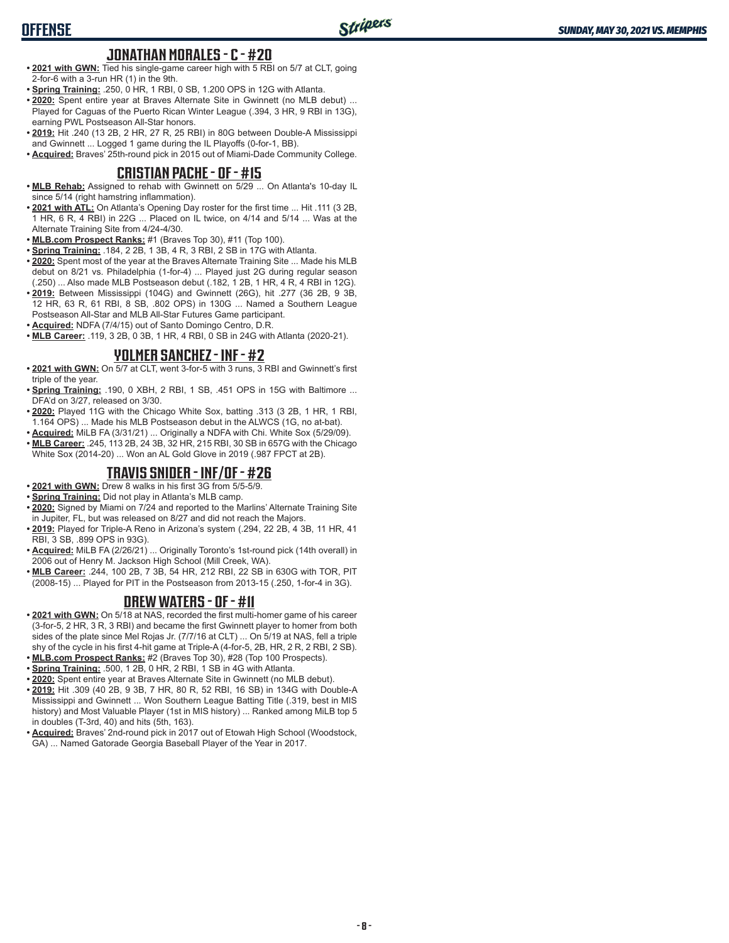#### **JONATHAN MORALES - C - #20**

- **• 2021 with GWN:** Tied his single-game career high with 5 RBI on 5/7 at CLT, going 2-for-6 with a 3-run HR (1) in the 9th.
- **• Spring Training:** .250, 0 HR, 1 RBI, 0 SB, 1.200 OPS in 12G with Atlanta.
- **• 2020:** Spent entire year at Braves Alternate Site in Gwinnett (no MLB debut) ... Played for Caguas of the Puerto Rican Winter League (.394, 3 HR, 9 RBI in 13G), earning PWL Postseason All-Star honors.
- **• 2019:** Hit .240 (13 2B, 2 HR, 27 R, 25 RBI) in 80G between Double-A Mississippi and Gwinnett ... Logged 1 game during the IL Playoffs (0-for-1, BB).

**• Acquired:** Braves' 25th-round pick in 2015 out of Miami-Dade Community College.

#### **CRISTIAN PACHE - OF - #15**

- **• MLB Rehab:** Assigned to rehab with Gwinnett on 5/29 ... On Atlanta's 10-day IL since 5/14 (right hamstring inflammation).
- **• 2021 with ATL:** On Atlanta's Opening Day roster for the first time ... Hit .111 (3 2B, 1 HR, 6 R, 4 RBI) in 22G ... Placed on IL twice, on 4/14 and 5/14 ... Was at the Alternate Training Site from 4/24-4/30.
- **• MLB.com Prospect Ranks:** #1 (Braves Top 30), #11 (Top 100).
- **• Spring Training:** .184, 2 2B, 1 3B, 4 R, 3 RBI, 2 SB in 17G with Atlanta.
- **• 2020:** Spent most of the year at the Braves Alternate Training Site ... Made his MLB debut on 8/21 vs. Philadelphia (1-for-4) ... Played just 2G during regular season (.250) ... Also made MLB Postseason debut (.182, 1 2B, 1 HR, 4 R, 4 RBI in 12G).
- **• 2019:** Between Mississippi (104G) and Gwinnett (26G), hit .277 (36 2B, 9 3B, 12 HR, 63 R, 61 RBI, 8 SB, .802 OPS) in 130G ... Named a Southern League Postseason All-Star and MLB All-Star Futures Game participant.
- **• Acquired:** NDFA (7/4/15) out of Santo Domingo Centro, D.R.
- **• MLB Career:** .119, 3 2B, 0 3B, 1 HR, 4 RBI, 0 SB in 24G with Atlanta (2020-21).

#### **YOLMER SANCHEZ - INF - #2**

- **• 2021 with GWN:** On 5/7 at CLT, went 3-for-5 with 3 runs, 3 RBI and Gwinnett's first triple of the year.
- **• Spring Training:** .190, 0 XBH, 2 RBI, 1 SB, .451 OPS in 15G with Baltimore ... DFA'd on 3/27, released on 3/30.
- **• 2020:** Played 11G with the Chicago White Sox, batting .313 (3 2B, 1 HR, 1 RBI, 1.164 OPS) ... Made his MLB Postseason debut in the ALWCS (1G, no at-bat).
- **• Acquired:** MiLB FA (3/31/21) ... Originally a NDFA with Chi. White Sox (5/29/09).
- **• MLB Career:** .245, 113 2B, 24 3B, 32 HR, 215 RBI, 30 SB in 657G with the Chicago White Sox (2014-20) ... Won an AL Gold Glove in 2019 (.987 FPCT at 2B).

#### **TRAVIS SNIDER - INF/OF - #26**

- **• 2021 with GWN:** Drew 8 walks in his first 3G from 5/5-5/9.
- **• Spring Training:** Did not play in Atlanta's MLB camp.
- **• 2020:** Signed by Miami on 7/24 and reported to the Marlins' Alternate Training Site in Jupiter, FL, but was released on 8/27 and did not reach the Majors.
- **• 2019:** Played for Triple-A Reno in Arizona's system (.294, 22 2B, 4 3B, 11 HR, 41 RBI, 3 SB, .899 OPS in 93G).
- **• Acquired:** MiLB FA (2/26/21) ... Originally Toronto's 1st-round pick (14th overall) in 2006 out of Henry M. Jackson High School (Mill Creek, WA).
- **• MLB Career:** .244, 100 2B, 7 3B, 54 HR, 212 RBI, 22 SB in 630G with TOR, PIT (2008-15) ... Played for PIT in the Postseason from 2013-15 (.250, 1-for-4 in 3G).

## **DREW WATERS - OF - #11**

- **• 2021 with GWN:** On 5/18 at NAS, recorded the first multi-homer game of his career (3-for-5, 2 HR, 3 R, 3 RBI) and became the first Gwinnett player to homer from both sides of the plate since Mel Rojas Jr. (7/7/16 at CLT) ... On 5/19 at NAS, fell a triple shy of the cycle in his first 4-hit game at Triple-A (4-for-5, 2B, HR, 2 R, 2 RBI, 2 SB).
- **• MLB.com Prospect Ranks:** #2 (Braves Top 30), #28 (Top 100 Prospects).
- **• Spring Training:** .500, 1 2B, 0 HR, 2 RBI, 1 SB in 4G with Atlanta.
- **• 2020:** Spent entire year at Braves Alternate Site in Gwinnett (no MLB debut).
- **• 2019:** Hit .309 (40 2B, 9 3B, 7 HR, 80 R, 52 RBI, 16 SB) in 134G with Double-A Mississippi and Gwinnett ... Won Southern League Batting Title (.319, best in MIS history) and Most Valuable Player (1st in MIS history) ... Ranked among MiLB top 5 in doubles (T-3rd, 40) and hits (5th, 163).
- **• Acquired:** Braves' 2nd-round pick in 2017 out of Etowah High School (Woodstock, GA) ... Named Gatorade Georgia Baseball Player of the Year in 2017.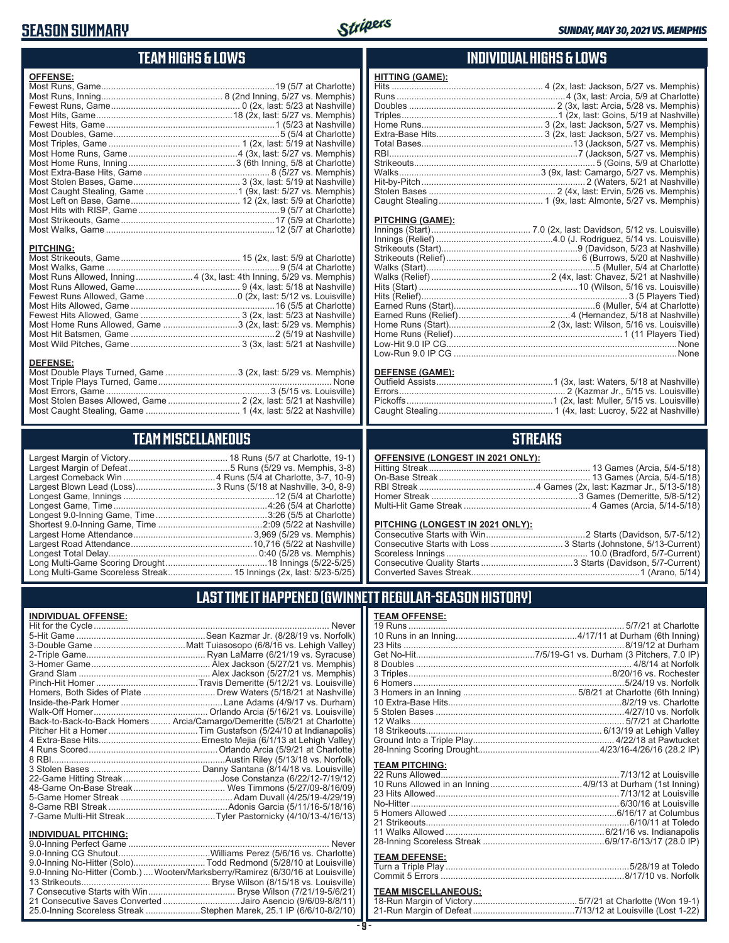# **SEASON SUMMARY**



**HITTING (GAME):**

#### **TEAM HIGHS & LOWS**

| <b>OFFENSE:</b>                                                      |  |
|----------------------------------------------------------------------|--|
|                                                                      |  |
|                                                                      |  |
|                                                                      |  |
|                                                                      |  |
|                                                                      |  |
|                                                                      |  |
|                                                                      |  |
|                                                                      |  |
|                                                                      |  |
|                                                                      |  |
|                                                                      |  |
|                                                                      |  |
|                                                                      |  |
|                                                                      |  |
|                                                                      |  |
|                                                                      |  |
| <b>PITCHING:</b>                                                     |  |
|                                                                      |  |
|                                                                      |  |
| Most Runs Allowed, Inning 4 (3x, last: 4th Inning, 5/29 vs. Memphis) |  |
|                                                                      |  |
|                                                                      |  |
|                                                                      |  |
|                                                                      |  |
| Most Home Runs Allowed, Game 3 (2x, last: 5/29 vs. Memphis)          |  |
|                                                                      |  |

Most Wild Pitches, Game ............................................ 3 (3x, last: 5/21 at Nashville)

Most Double Plays Turned, Game .............................3 (2x, last: 5/29 vs. Memphis) Most Triple Plays Turned, Game ...................................................................... None Most Errors, Game ..................................................................3 (5/15 vs. Louisville) Most Stolen Bases Allowed, Game ............................. 2 (2x, last: 5/21 at Nashville) Most Caught Stealing, Game ...................................... 1 (4x, last: 5/22 at Nashville)

**TEAM MISCELLANEOUS** Largest Margin of Victory........................................ 18 Runs (5/7 at Charlotte, 19-1) Largest Margin of Defeat .........................................5 Runs (5/29 vs. Memphis, 3-8) Largest Comeback Win .....................................4 Runs (5/4 at Charlotte, 3-7, 10-9) Largest Blown Lead (Loss) ................................3 Runs (5/18 at Nashville, 3-0, 8-9) Longest Game, Innings .............................................................12 (5/4 at Charlotte) Longest Game, Time ..............................................................4:26 (5/4 at Charlotte) Longest 9.0-Inning Game, Time .............................................3:26 (5/5 at Charlotte) Shortest 9.0-Inning Game, Time ..........................................2:09 (5/22 at Nashville) Largest Home Attendance ................................................ 3,969 (5/29 vs. Memphis) Largest Road Attendance .................................................10,716 (5/22 at Nashville) Longest Total Delay............................................................ 0:40 (5/28 vs. Memphis) Long Multi-Game Scoring Drought .........................................18 Innings (5/22-5/25)

#### **INDIVIDUAL HIGHS & LOWS**

| <u></u>          |  |
|------------------|--|
|                  |  |
|                  |  |
|                  |  |
|                  |  |
|                  |  |
|                  |  |
|                  |  |
|                  |  |
|                  |  |
|                  |  |
|                  |  |
|                  |  |
|                  |  |
|                  |  |
| PITCHING (GAME): |  |
|                  |  |
|                  |  |
|                  |  |
|                  |  |
|                  |  |
|                  |  |
|                  |  |
|                  |  |
|                  |  |
|                  |  |
|                  |  |

#### **DEFENSE (GAME):**

Home Runs (Relief) .................................................................... 1 (11 Players Tied) Low-Hit 9.0 IP CG.............................................................................................None Low-Run 9.0 IP CG ..........................................................................................None

#### **STREAKS**

#### **PITCHING (LONGEST IN 2021 ONLY):**

#### **LAST TIME IT HAPPENED (GWINNETT REGULAR-SEASON HISTORY)**

| <b>TEAM OFFENSE:</b>       |  |
|----------------------------|--|
|                            |  |
|                            |  |
|                            |  |
|                            |  |
|                            |  |
|                            |  |
|                            |  |
|                            |  |
|                            |  |
|                            |  |
|                            |  |
|                            |  |
|                            |  |
|                            |  |
|                            |  |
| <b>TEAM PITCHING:</b>      |  |
|                            |  |
|                            |  |
|                            |  |
|                            |  |
|                            |  |
|                            |  |
|                            |  |
|                            |  |
| <b>TEAM DEFENSE:</b>       |  |
|                            |  |
|                            |  |
| <b>TEAM MISCELLANEOUS:</b> |  |

#### **TEAM MISCELLANEOUS:**

| 21-Run Margin of Defeat…………………………………7/13/12 at Louisville (Lost 1-22) |  |
|-----------------------------------------------------------------------|--|

# Long Multi-Game Scoreless Streak .......................... 15 Innings (2x, last: 5/23-5/25)

**DEFENSE:**

| <b>INDIVIDUAL OFFENSE:</b> |                                                                            |
|----------------------------|----------------------------------------------------------------------------|
|                            |                                                                            |
|                            |                                                                            |
|                            |                                                                            |
|                            |                                                                            |
|                            |                                                                            |
|                            |                                                                            |
|                            |                                                                            |
|                            | Homers, Both Sides of Plate  Drew Waters (5/18/21 at Nashville)            |
|                            |                                                                            |
|                            |                                                                            |
|                            | Back-to-Back-to-Back Homers  Arcia/Camargo/Demeritte (5/8/21 at Charlotte) |
|                            |                                                                            |
|                            |                                                                            |
|                            |                                                                            |
|                            |                                                                            |
|                            |                                                                            |
|                            |                                                                            |
|                            |                                                                            |
|                            |                                                                            |

#### ............. Drew Waters (5/18/21 at Nashville) ................Lane Adams (4/9/17 vs. Durham) Walk-Off Homer.............................................. Orlando Arcia (5/16/21 vs. Louisville) Back-to-Back-to-Back Homers ........ Arcia/Camargo/Demeritte (5/8/21 at Charlotte) Pitcher Hit a Homer ....................................Tim Gustafson (5/24/10 at Indianapolis) 4 Extra-Base Hits.........................................Ernesto Mejia (6/1/13 at Lehigh Valley) 4 Runs Scored....................................................Orlando Arcia (5/9/21 at Charlotte) 8 RBI......................................................................Austin Riley (5/13/18 vs. Norfolk) ....... Danny Santana *(*8/̀14/18 vs. Louisville) ...............Jose Constanza (6/22/12-7/19/12) .................. Wes Timmons (5/27/09-8/16/09) 5-Game Homer Streak .............................................Adam Duvall (4/25/19-4/29/19) 8-Game RBI Streak ................................................Adonis Garcia (5/11/16-5/18/16) 7-Game Multi-Hit Streak....................................Tyler Pastornicky (4/10/13-4/16/13)

#### **INDIVIDUAL PITCHING:**

| 9.0-Inning No-Hitter (Solo)Todd Redmond (5/28/10 at Louisville)                 |  |
|---------------------------------------------------------------------------------|--|
| 9.0-Inning No-Hitter (Comb.)  Wooten/Marksberry/Ramirez (6/30/16 at Louisville) |  |
|                                                                                 |  |
|                                                                                 |  |
| 21 Consecutive Saves Converted Jairo Asencio (9/6/09-8/8/11)                    |  |
| 25.0-Inning Scoreless Streak Stephen Marek, 25.1 IP (6/6/10-8/2/10)             |  |